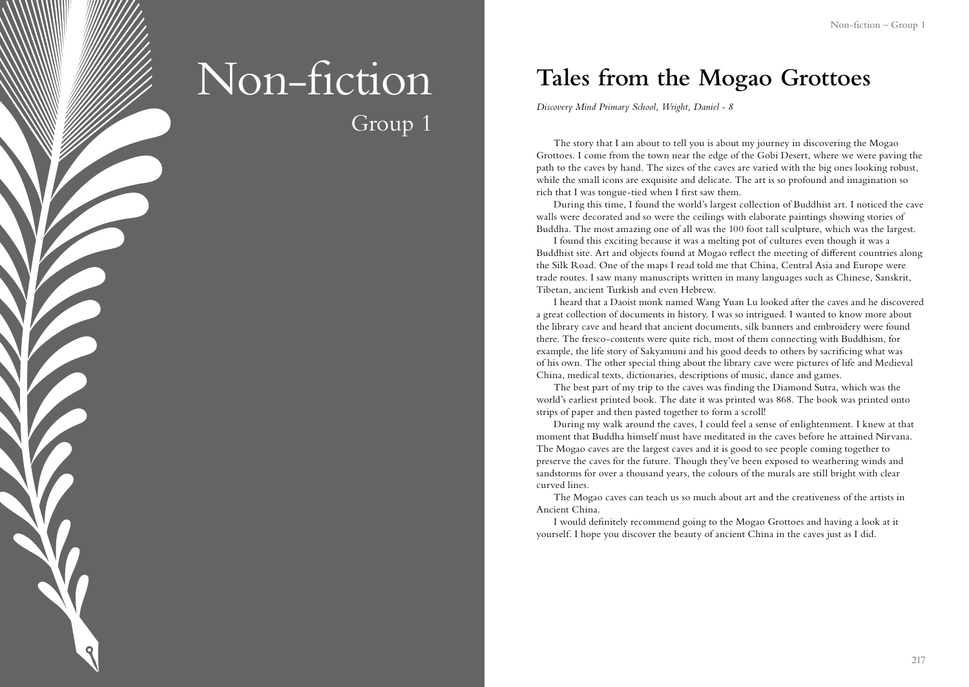# Non-fiction Group 1

**Tales from the Mogao Grottoes**

*Discovery Mind Primary School, Wright, Daniel - 8*

The story that I am about to tell you is about my journey in discovering the Mogao Grottoes. I come from the town near the edge of the Gobi Desert, where we were paving the path to the caves by hand. The sizes of the caves are varied with the big ones looking robust, while the small icons are exquisite and delicate. The art is so profound and imagination so rich that I was tongue-tied when I first saw them.

During this time, I found the world's largest collection of Buddhist art. I noticed the cave walls were decorated and so were the ceilings with elaborate paintings showing stories of Buddha. The most amazing one of all was the 100 foot tall sculpture, which was the largest.

I found this exciting because it was a melting pot of cultures even though it was a Buddhist site. Art and objects found at Mogao reflect the meeting of different countries along the Silk Road. One of the maps I read told me that China, Central Asia and Europe were trade routes. I saw many manuscripts written in many languages such as Chinese, Sanskrit, Tibetan, ancient Turkish and even Hebrew.

I heard that a Daoist monk named Wang Yuan Lu looked after the caves and he discovered a great collection of documents in history. I was so intrigued. I wanted to know more about the library cave and heard that ancient documents, silk banners and embroidery were found there. The fresco-contents were quite rich, most of them connecting with Buddhism, for example, the life story of Sakyamuni and his good deeds to others by sacrificing what was of his own. The other special thing about the library cave were pictures of life and Medieval China, medical texts, dictionaries, descriptions of music, dance and games.

The best part of my trip to the caves was finding the Diamond Sutra, which was the world's earliest printed book. The date it was printed was 868. The book was printed onto strips of paper and then pasted together to form a scroll!

During my walk around the caves, I could feel a sense of enlightenment. I knew at that moment that Buddha himself must have meditated in the caves before he attained Nirvana. The Mogao caves are the largest caves and it is good to see people coming together to preserve the caves for the future. Though they've been exposed to weathering winds and sandstorms for over a thousand years, the colours of the murals are still bright with clear curved lines.

The Mogao caves can teach us so much about art and the creativeness of the artists in Ancient China.

I would definitely recommend going to the Mogao Grottoes and having a look at it yourself. I hope you discover the beauty of ancient China in the caves just as I did.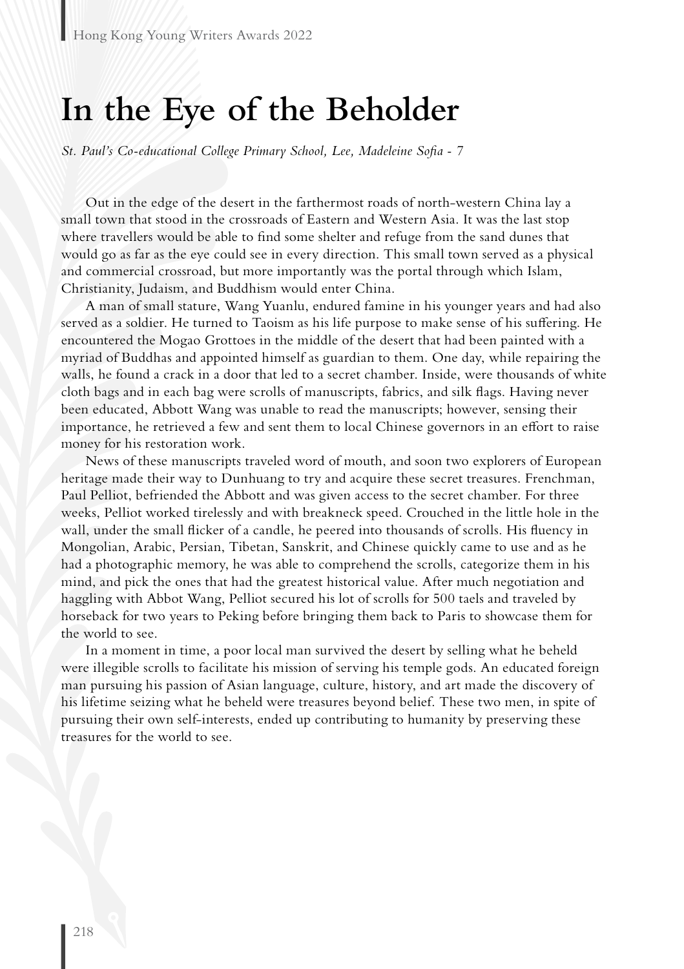## **In the Eye of the Beholder**

*St. Paul's Co-educational College Primary School, Lee, Madeleine Sofia - 7*

Out in the edge of the desert in the farthermost roads of north-western China lay a small town that stood in the crossroads of Eastern and Western Asia. It was the last stop where travellers would be able to find some shelter and refuge from the sand dunes that would go as far as the eye could see in every direction. This small town served as a physical and commercial crossroad, but more importantly was the portal through which Islam, Christianity, Judaism, and Buddhism would enter China.

A man of small stature, Wang Yuanlu, endured famine in his younger years and had also served as a soldier. He turned to Taoism as his life purpose to make sense of his suffering. He encountered the Mogao Grottoes in the middle of the desert that had been painted with a myriad of Buddhas and appointed himself as guardian to them. One day, while repairing the walls, he found a crack in a door that led to a secret chamber. Inside, were thousands of white cloth bags and in each bag were scrolls of manuscripts, fabrics, and silk flags. Having never been educated, Abbott Wang was unable to read the manuscripts; however, sensing their importance, he retrieved a few and sent them to local Chinese governors in an effort to raise money for his restoration work.

News of these manuscripts traveled word of mouth, and soon two explorers of European heritage made their way to Dunhuang to try and acquire these secret treasures. Frenchman, Paul Pelliot, befriended the Abbott and was given access to the secret chamber. For three weeks, Pelliot worked tirelessly and with breakneck speed. Crouched in the little hole in the wall, under the small flicker of a candle, he peered into thousands of scrolls. His fluency in Mongolian, Arabic, Persian, Tibetan, Sanskrit, and Chinese quickly came to use and as he had a photographic memory, he was able to comprehend the scrolls, categorize them in his mind, and pick the ones that had the greatest historical value. After much negotiation and haggling with Abbot Wang, Pelliot secured his lot of scrolls for 500 taels and traveled by horseback for two years to Peking before bringing them back to Paris to showcase them for the world to see.

In a moment in time, a poor local man survived the desert by selling what he beheld were illegible scrolls to facilitate his mission of serving his temple gods. An educated foreign man pursuing his passion of Asian language, culture, history, and art made the discovery of his lifetime seizing what he beheld were treasures beyond belief. These two men, in spite of pursuing their own self-interests, ended up contributing to humanity by preserving these treasures for the world to see.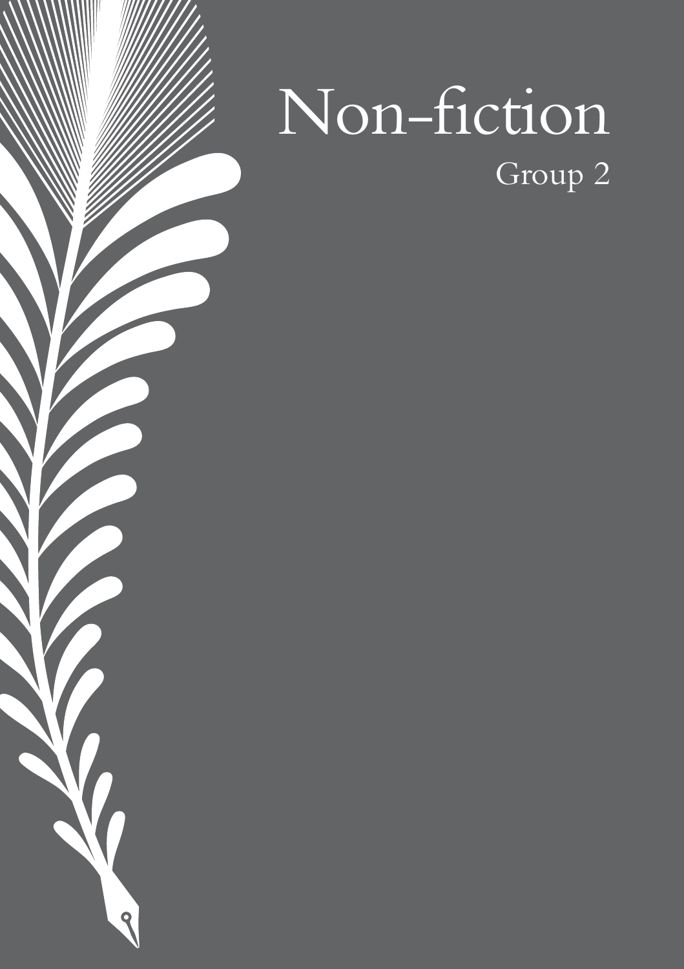# Non-fiction Group 2

 $\blacklozenge$ 

 $\overline{\mathbf{Q}}$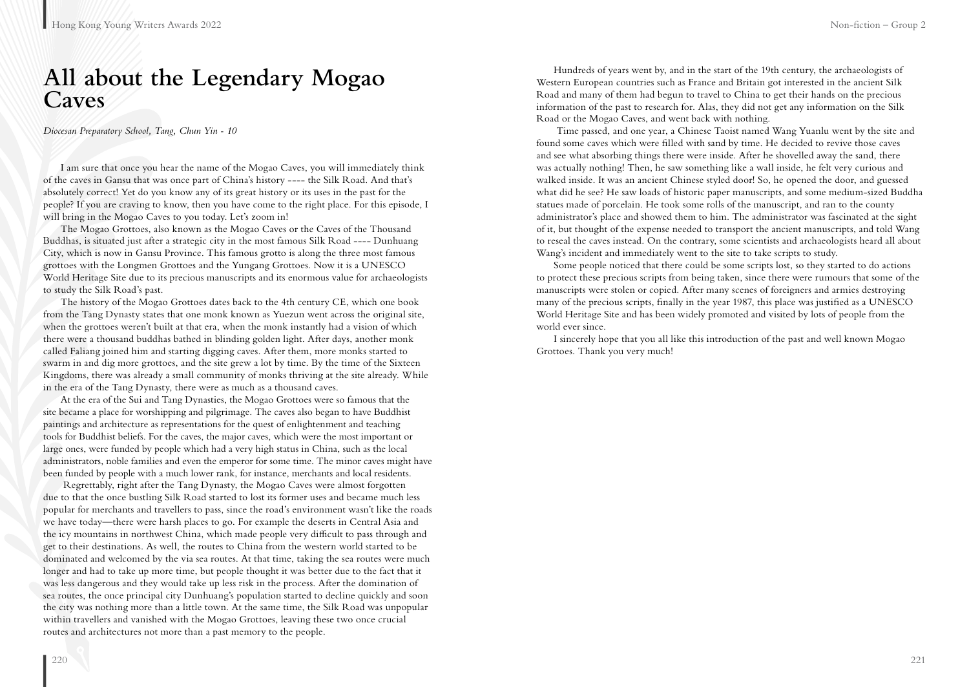## **All about the Legendary Mogao Caves**

*Diocesan Preparatory School, Tang, Chun Yin - 10*

I am sure that once you hear the name of the Mogao Caves, you will immediately think of the caves in Gansu that was once part of China's history ---- the Silk Road. And that's absolutely correct! Yet do you know any of its great history or its uses in the past for the people? If you are craving to know, then you have come to the right place. For this episode, I will bring in the Mogao Caves to you today. Let's zoom in!

The Mogao Grottoes, also known as the Mogao Caves or the Caves of the Thousand Buddhas, is situated just after a strategic city in the most famous Silk Road ---- Dunhuang City, which is now in Gansu Province. This famous grotto is along the three most famous grottoes with the Longmen Grottoes and the Yungang Grottoes. Now it is a UNESCO World Heritage Site due to its precious manuscripts and its enormous value for archaeologists to study the Silk Road's past.

The history of the Mogao Grottoes dates back to the 4th century CE, which one book from the Tang Dynasty states that one monk known as Yuezun went across the original site, when the grottoes weren't built at that era, when the monk instantly had a vision of which there were a thousand buddhas bathed in blinding golden light. After days, another monk called Faliang joined him and starting digging caves. After them, more monks started to swarm in and dig more grottoes, and the site grew a lot by time. By the time of the Sixteen Kingdoms, there was already a small community of monks thriving at the site already. While in the era of the Tang Dynasty, there were as much as a thousand caves.

At the era of the Sui and Tang Dynasties, the Mogao Grottoes were so famous that the site became a place for worshipping and pilgrimage. The caves also began to have Buddhist paintings and architecture as representations for the quest of enlightenment and teaching tools for Buddhist beliefs. For the caves, the major caves, which were the most important or large ones, were funded by people which had a very high status in China, such as the local administrators, noble families and even the emperor for some time. The minor caves might have been funded by people with a much lower rank, for instance, merchants and local residents.

 Regrettably, right after the Tang Dynasty, the Mogao Caves were almost forgotten due to that the once bustling Silk Road started to lost its former uses and became much less popular for merchants and travellers to pass, since the road's environment wasn't like the roads we have today—there were harsh places to go. For example the deserts in Central Asia and the icy mountains in northwest China, which made people very difficult to pass through and get to their destinations. As well, the routes to China from the western world started to be dominated and welcomed by the via sea routes. At that time, taking the sea routes were much longer and had to take up more time, but people thought it was better due to the fact that it was less dangerous and they would take up less risk in the process. After the domination of sea routes, the once principal city Dunhuang's population started to decline quickly and soon the city was nothing more than a little town. At the same time, the Silk Road was unpopular within travellers and vanished with the Mogao Grottoes, leaving these two once crucial routes and architectures not more than a past memory to the people.

Hundreds of years went by, and in the start of the 19th century, the archaeologists of Western European countries such as France and Britain got interested in the ancient Silk Road and many of them had begun to travel to China to get their hands on the precious information of the past to research for. Alas, they did not get any information on the Silk Road or the Mogao Caves, and went back with nothing.

 Time passed, and one year, a Chinese Taoist named Wang Yuanlu went by the site and found some caves which were filled with sand by time. He decided to revive those caves and see what absorbing things there were inside. After he shovelled away the sand, there was actually nothing! Then, he saw something like a wall inside, he felt very curious and walked inside. It was an ancient Chinese styled door! So, he opened the door, and guessed what did he see? He saw loads of historic paper manuscripts, and some medium-sized Buddha statues made of porcelain. He took some rolls of the manuscript, and ran to the county administrator's place and showed them to him. The administrator was fascinated at the sight of it, but thought of the expense needed to transport the ancient manuscripts, and told Wang to reseal the caves instead. On the contrary, some scientists and archaeologists heard all about Wang's incident and immediately went to the site to take scripts to study.

Some people noticed that there could be some scripts lost, so they started to do actions to protect these precious scripts from being taken, since there were rumours that some of the manuscripts were stolen or copied. After many scenes of foreigners and armies destroying many of the precious scripts, finally in the year 1987, this place was justified as a UNESCO World Heritage Site and has been widely promoted and visited by lots of people from the world ever since.

I sincerely hope that you all like this introduction of the past and well known Mogao Grottoes. Thank you very much!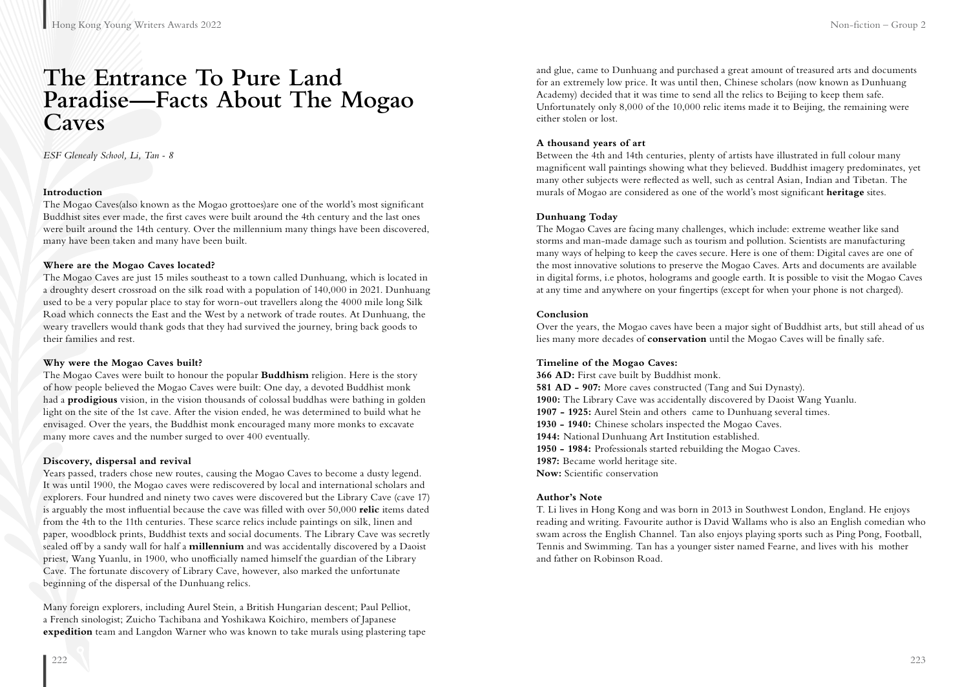## **The Entrance To Pure Land Paradise—Facts About The Mogao Caves**

*ESF Glenealy School, Li, Tan - 8*

#### **Introduction**

The Mogao Caves(also known as the Mogao grottoes)are one of the world's most significant Buddhist sites ever made, the first caves were built around the 4th century and the last ones were built around the 14th century. Over the millennium many things have been discovered, many have been taken and many have been built.

#### **Where are the Mogao Caves located?**

The Mogao Caves are just 15 miles southeast to a town called Dunhuang, which is located in a droughty desert crossroad on the silk road with a population of 140,000 in 2021. Dunhuang used to be a very popular place to stay for worn-out travellers along the 4000 mile long Silk Road which connects the East and the West by a network of trade routes. At Dunhuang, the weary travellers would thank gods that they had survived the journey, bring back goods to their families and rest.

#### **Why were the Mogao Caves built?**

The Mogao Caves were built to honour the popular **Buddhism** religion. Here is the story of how people believed the Mogao Caves were built: One day, a devoted Buddhist monk had a **prodigious** vision, in the vision thousands of colossal buddhas were bathing in golden light on the site of the 1st cave. After the vision ended, he was determined to build what he envisaged. Over the years, the Buddhist monk encouraged many more monks to excavate many more caves and the number surged to over 400 eventually.

#### **Discovery, dispersal and revival**

Years passed, traders chose new routes, causing the Mogao Caves to become a dusty legend. It was until 1900, the Mogao caves were rediscovered by local and international scholars and explorers. Four hundred and ninety two caves were discovered but the Library Cave (cave 17) is arguably the most influential because the cave was filled with over 50,000 **relic** items dated from the 4th to the 11th centuries. These scarce relics include paintings on silk, linen and paper, woodblock prints, Buddhist texts and social documents. The Library Cave was secretly sealed off by a sandy wall for half a **millennium** and was accidentally discovered by a Daoist priest, Wang Yuanlu, in 1900, who unofficially named himself the guardian of the Library Cave. The fortunate discovery of Library Cave, however, also marked the unfortunate beginning of the dispersal of the Dunhuang relics.

Many foreign explorers, including Aurel Stein, a British Hungarian descent; Paul Pelliot, a French sinologist; Zuicho Tachibana and Yoshikawa Koichiro, members of Japanese **expedition** team and Langdon Warner who was known to take murals using plastering tape and glue, came to Dunhuang and purchased a great amount of treasured arts and documents for an extremely low price. It was until then, Chinese scholars (now known as Dunhuang Academy) decided that it was time to send all the relics to Beijing to keep them safe. Unfortunately only 8,000 of the 10,000 relic items made it to Beijing, the remaining were either stolen or lost.

#### **A thousand years of art**

Between the 4th and 14th centuries, plenty of artists have illustrated in full colour many magnificent wall paintings showing what they believed. Buddhist imagery predominates, yet many other subjects were reflected as well, such as central Asian, Indian and Tibetan. The murals of Mogao are considered as one of the world's most significant **heritage** sites.

#### **Dunhuang Today**

The Mogao Caves are facing many challenges, which include: extreme weather like sand storms and man-made damage such as tourism and pollution. Scientists are manufacturing many ways of helping to keep the caves secure. Here is one of them: Digital caves are one of the most innovative solutions to preserve the Mogao Caves. Arts and documents are available in digital forms, i.e photos, holograms and google earth. It is possible to visit the Mogao Caves at any time and anywhere on your fingertips (except for when your phone is not charged).

#### **Conclusion**

Over the years, the Mogao caves have been a major sight of Buddhist arts, but still ahead of us lies many more decades of **conservation** until the Mogao Caves will be finally safe.

#### **Timeline of the Mogao Caves:**

**366 AD:** First cave built by Buddhist monk. **581 AD - 907:** More caves constructed (Tang and Sui Dynasty). **1900:** The Library Cave was accidentally discovered by Daoist Wang Yuanlu. **1907 - 1925:** Aurel Stein and others came to Dunhuang several times. **1930 - 1940:** Chinese scholars inspected the Mogao Caves. **1944:** National Dunhuang Art Institution established. **1950 - 1984:** Professionals started rebuilding the Mogao Caves. **1987:** Became world heritage site. **Now:** Scientific conservation

#### **Author's Note**

T. Li lives in Hong Kong and was born in 2013 in Southwest London, England. He enjoys reading and writing. Favourite author is David Wallams who is also an English comedian who swam across the English Channel. Tan also enjoys playing sports such as Ping Pong, Football, Tennis and Swimming. Tan has a younger sister named Fearne, and lives with his mother and father on Robinson Road.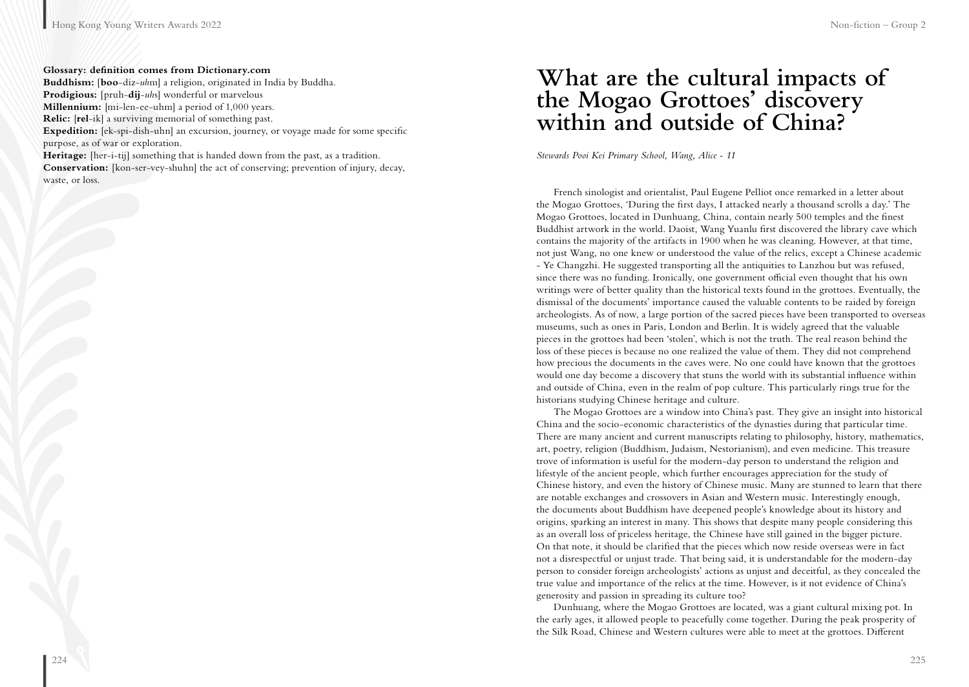#### **Glossary: definition comes from Dictionary.com**

**Buddhism:** [**boo**-diz-*uh*m] a religion, originated in India by Buddha. **Prodigious:** [pruh-**dij**-*uh*s] wonderful or marvelous **Millennium:** [mi-len-ee-uhm] a period of 1,000 years. **Relic:** [**rel**-ik] a surviving memorial of something past. **Expedition:** [ek-spi-dish-uhn] an excursion, journey, or voyage made for some specific purpose, as of war or exploration. **Heritage:** [her-i-tij] something that is handed down from the past, as a tradition.

**Conservation:** [kon-ser-vey-shuhn] the act of conserving; prevention of injury, decay, waste, or loss.

## **What are the cultural impacts of the Mogao Grottoes' discovery within and outside of China?**

*Stewards Pooi Kei Primary School, Wang, Alice - 11*

French sinologist and orientalist, Paul Eugene Pelliot once remarked in a letter about the Mogao Grottoes, 'During the first days, I attacked nearly a thousand scrolls a day.' The Mogao Grottoes, located in Dunhuang, China, contain nearly 500 temples and the finest Buddhist artwork in the world. Daoist, Wang Yuanlu first discovered the library cave which contains the majority of the artifacts in 1900 when he was cleaning. However, at that time, not just Wang, no one knew or understood the value of the relics, except a Chinese academic - Ye Changzhi. He suggested transporting all the antiquities to Lanzhou but was refused, since there was no funding. Ironically, one government official even thought that his own writings were of better quality than the historical texts found in the grottoes. Eventually, the dismissal of the documents' importance caused the valuable contents to be raided by foreign archeologists. As of now, a large portion of the sacred pieces have been transported to overseas museums, such as ones in Paris, London and Berlin. It is widely agreed that the valuable pieces in the grottoes had been 'stolen', which is not the truth. The real reason behind the loss of these pieces is because no one realized the value of them. They did not comprehend how precious the documents in the caves were. No one could have known that the grottoes would one day become a discovery that stuns the world with its substantial influence within and outside of China, even in the realm of pop culture. This particularly rings true for the historians studying Chinese heritage and culture.

The Mogao Grottoes are a window into China's past. They give an insight into historical China and the socio-economic characteristics of the dynasties during that particular time. There are many ancient and current manuscripts relating to philosophy, history, mathematics, art, poetry, religion (Buddhism, Judaism, Nestorianism), and even medicine. This treasure trove of information is useful for the modern-day person to understand the religion and lifestyle of the ancient people, which further encourages appreciation for the study of Chinese history, and even the history of Chinese music. Many are stunned to learn that there are notable exchanges and crossovers in Asian and Western music. Interestingly enough, the documents about Buddhism have deepened people's knowledge about its history and origins, sparking an interest in many. This shows that despite many people considering this as an overall loss of priceless heritage, the Chinese have still gained in the bigger picture. On that note, it should be clarified that the pieces which now reside overseas were in fact not a disrespectful or unjust trade. That being said, it is understandable for the modern-day person to consider foreign archeologists' actions as unjust and deceitful, as they concealed the true value and importance of the relics at the time. However, is it not evidence of China's generosity and passion in spreading its culture too?

Dunhuang, where the Mogao Grottoes are located, was a giant cultural mixing pot. In the early ages, it allowed people to peacefully come together. During the peak prosperity of the Silk Road, Chinese and Western cultures were able to meet at the grottoes. Different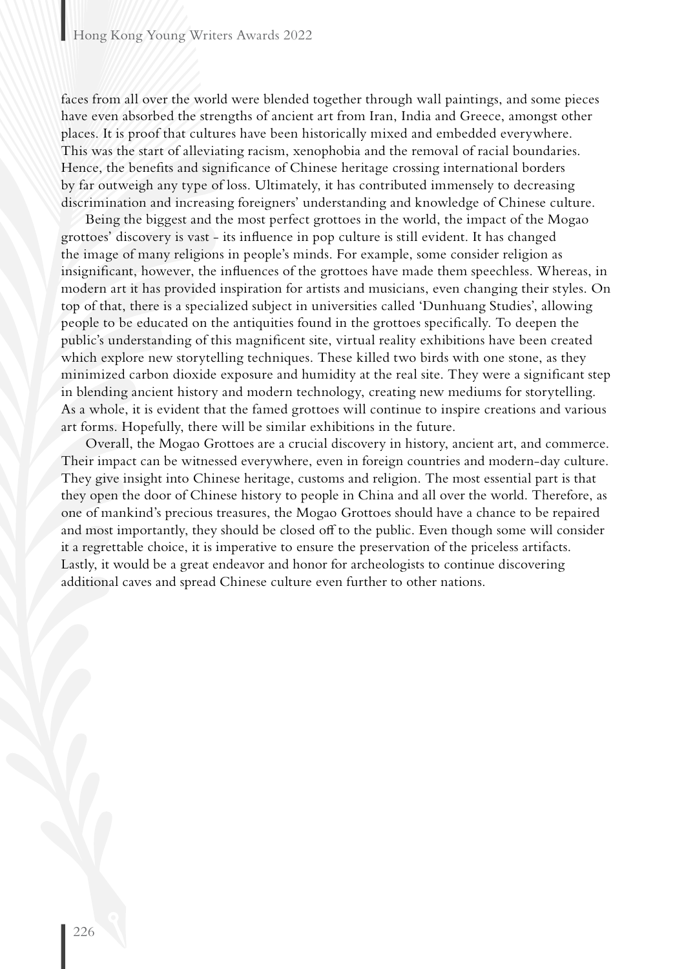faces from all over the world were blended together through wall paintings, and some pieces have even absorbed the strengths of ancient art from Iran, India and Greece, amongst other places. It is proof that cultures have been historically mixed and embedded everywhere. This was the start of alleviating racism, xenophobia and the removal of racial boundaries. Hence, the benefits and significance of Chinese heritage crossing international borders by far outweigh any type of loss. Ultimately, it has contributed immensely to decreasing discrimination and increasing foreigners' understanding and knowledge of Chinese culture.

Being the biggest and the most perfect grottoes in the world, the impact of the Mogao grottoes' discovery is vast - its influence in pop culture is still evident. It has changed the image of many religions in people's minds. For example, some consider religion as insignificant, however, the influences of the grottoes have made them speechless. Whereas, in modern art it has provided inspiration for artists and musicians, even changing their styles. On top of that, there is a specialized subject in universities called 'Dunhuang Studies', allowing people to be educated on the antiquities found in the grottoes specifically. To deepen the public's understanding of this magnificent site, virtual reality exhibitions have been created which explore new storytelling techniques. These killed two birds with one stone, as they minimized carbon dioxide exposure and humidity at the real site. They were a significant step in blending ancient history and modern technology, creating new mediums for storytelling. As a whole, it is evident that the famed grottoes will continue to inspire creations and various art forms. Hopefully, there will be similar exhibitions in the future.

Overall, the Mogao Grottoes are a crucial discovery in history, ancient art, and commerce. Their impact can be witnessed everywhere, even in foreign countries and modern-day culture. They give insight into Chinese heritage, customs and religion. The most essential part is that they open the door of Chinese history to people in China and all over the world. Therefore, as one of mankind's precious treasures, the Mogao Grottoes should have a chance to be repaired and most importantly, they should be closed off to the public. Even though some will consider it a regrettable choice, it is imperative to ensure the preservation of the priceless artifacts. Lastly, it would be a great endeavor and honor for archeologists to continue discovering additional caves and spread Chinese culture even further to other nations.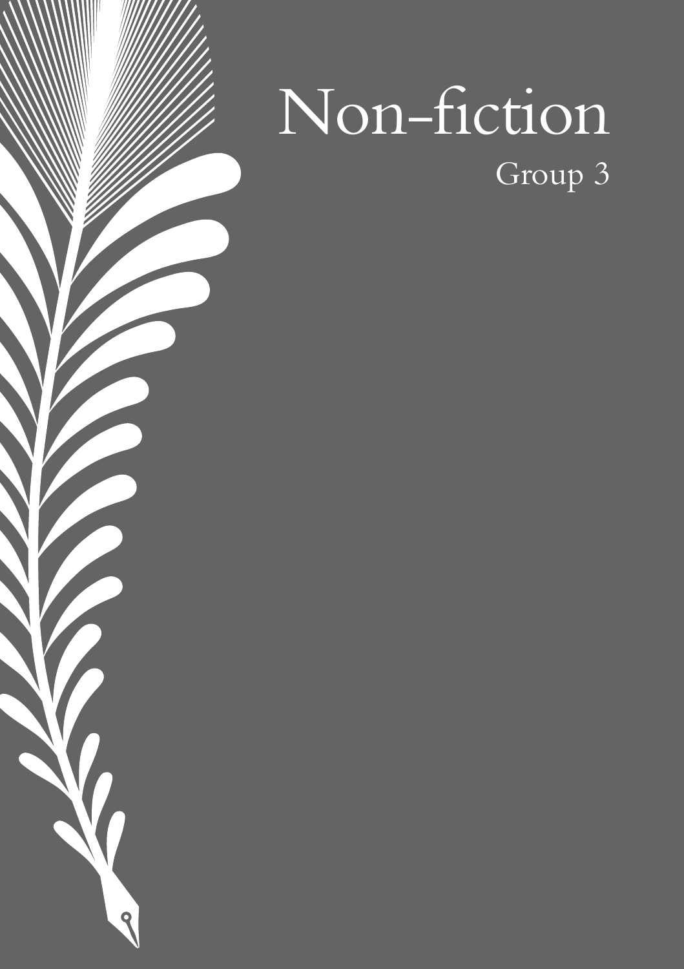

 $\blacktriangledown$ 

 $\overline{\mathbf{Q}}$ 

## Group 3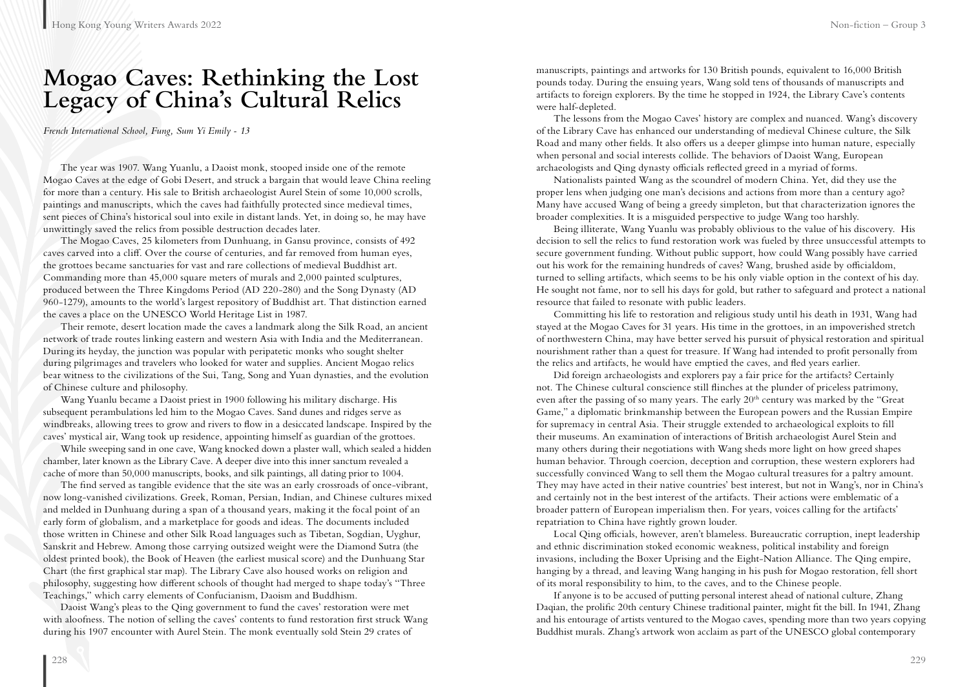## **Mogao Caves: Rethinking the Lost Legacy of China's Cultural Relics**

*French International School, Fung, Sum Yi Emily - 13*

The year was 1907. Wang Yuanlu, a Daoist monk, stooped inside one of the remote Mogao Caves at the edge of Gobi Desert, and struck a bargain that would leave China reeling for more than a century. His sale to British archaeologist Aurel Stein of some 10,000 scrolls, paintings and manuscripts, which the caves had faithfully protected since medieval times, sent pieces of China's historical soul into exile in distant lands. Yet, in doing so, he may have unwittingly saved the relics from possible destruction decades later.

The Mogao Caves, 25 kilometers from Dunhuang, in Gansu province, consists of 492 caves carved into a cliff. Over the course of centuries, and far removed from human eyes, the grottoes became sanctuaries for vast and rare collections of medieval Buddhist art. Commanding more than 45,000 square meters of murals and 2,000 painted sculptures, produced between the Three Kingdoms Period (AD 220-280) and the Song Dynasty (AD 960-1279), amounts to the world's largest repository of Buddhist art. That distinction earned the caves a place on the UNESCO World Heritage List in 1987.

Their remote, desert location made the caves a landmark along the Silk Road, an ancient network of trade routes linking eastern and western Asia with India and the Mediterranean. During its heyday, the junction was popular with peripatetic monks who sought shelter during pilgrimages and travelers who looked for water and supplies. Ancient Mogao relics bear witness to the civilizations of the Sui, Tang, Song and Yuan dynasties, and the evolution of Chinese culture and philosophy.

Wang Yuanlu became a Daoist priest in 1900 following his military discharge. His subsequent perambulations led him to the Mogao Caves. Sand dunes and ridges serve as windbreaks, allowing trees to grow and rivers to flow in a desiccated landscape. Inspired by the caves' mystical air, Wang took up residence, appointing himself as guardian of the grottoes.

While sweeping sand in one cave, Wang knocked down a plaster wall, which sealed a hidden chamber, later known as the Library Cave. A deeper dive into this inner sanctum revealed a cache of more than 50,000 manuscripts, books, and silk paintings, all dating prior to 1004.

The find served as tangible evidence that the site was an early crossroads of once-vibrant, now long-vanished civilizations. Greek, Roman, Persian, Indian, and Chinese cultures mixed and melded in Dunhuang during a span of a thousand years, making it the focal point of an early form of globalism, and a marketplace for goods and ideas. The documents included those written in Chinese and other Silk Road languages such as Tibetan, Sogdian, Uyghur, Sanskrit and Hebrew. Among those carrying outsized weight were the Diamond Sutra (the oldest printed book), the Book of Heaven (the earliest musical score) and the Dunhuang Star Chart (the first graphical star map). The Library Cave also housed works on religion and philosophy, suggesting how different schools of thought had merged to shape today's "Three Teachings," which carry elements of Confucianism, Daoism and Buddhism.

Daoist Wang's pleas to the Qing government to fund the caves' restoration were met with aloofness. The notion of selling the caves' contents to fund restoration first struck Wang during his 1907 encounter with Aurel Stein. The monk eventually sold Stein 29 crates of

manuscripts, paintings and artworks for 130 British pounds, equivalent to 16,000 British pounds today. During the ensuing years, Wang sold tens of thousands of manuscripts and artifacts to foreign explorers. By the time he stopped in 1924, the Library Cave's contents were half-depleted.

The lessons from the Mogao Caves' history are complex and nuanced. Wang's discovery of the Library Cave has enhanced our understanding of medieval Chinese culture, the Silk Road and many other fields. It also offers us a deeper glimpse into human nature, especially when personal and social interests collide. The behaviors of Daoist Wang, European archaeologists and Qing dynasty officials reflected greed in a myriad of forms.

Nationalists painted Wang as the scoundrel of modern China. Yet, did they use the proper lens when judging one man's decisions and actions from more than a century ago? Many have accused Wang of being a greedy simpleton, but that characterization ignores the broader complexities. It is a misguided perspective to judge Wang too harshly.

Being illiterate, Wang Yuanlu was probably oblivious to the value of his discovery. His decision to sell the relics to fund restoration work was fueled by three unsuccessful attempts to secure government funding. Without public support, how could Wang possibly have carried out his work for the remaining hundreds of caves? Wang, brushed aside by officialdom, turned to selling artifacts, which seems to be his only viable option in the context of his day. He sought not fame, nor to sell his days for gold, but rather to safeguard and protect a national resource that failed to resonate with public leaders.

Committing his life to restoration and religious study until his death in 1931, Wang had stayed at the Mogao Caves for 31 years. His time in the grottoes, in an impoverished stretch of northwestern China, may have better served his pursuit of physical restoration and spiritual nourishment rather than a quest for treasure. If Wang had intended to profit personally from the relics and artifacts, he would have emptied the caves, and fled years earlier.

Did foreign archaeologists and explorers pay a fair price for the artifacts? Certainly not. The Chinese cultural conscience still flinches at the plunder of priceless patrimony, even after the passing of so many years. The early  $20<sup>th</sup>$  century was marked by the "Great Game," a diplomatic brinkmanship between the European powers and the Russian Empire for supremacy in central Asia. Their struggle extended to archaeological exploits to fill their museums. An examination of interactions of British archaeologist Aurel Stein and many others during their negotiations with Wang sheds more light on how greed shapes human behavior. Through coercion, deception and corruption, these western explorers had successfully convinced Wang to sell them the Mogao cultural treasures for a paltry amount. They may have acted in their native countries' best interest, but not in Wang's, nor in China's and certainly not in the best interest of the artifacts. Their actions were emblematic of a broader pattern of European imperialism then. For years, voices calling for the artifacts' repatriation to China have rightly grown louder.

Local Qing officials, however, aren't blameless. Bureaucratic corruption, inept leadership and ethnic discrimination stoked economic weakness, political instability and foreign invasions, including the Boxer Uprising and the Eight-Nation Alliance. The Qing empire, hanging by a thread, and leaving Wang hanging in his push for Mogao restoration, fell short of its moral responsibility to him, to the caves, and to the Chinese people.

If anyone is to be accused of putting personal interest ahead of national culture, Zhang Daqian, the prolific 20th century Chinese traditional painter, might fit the bill. In 1941, Zhang and his entourage of artists ventured to the Mogao caves, spending more than two years copying Buddhist murals. Zhang's artwork won acclaim as part of the UNESCO global contemporary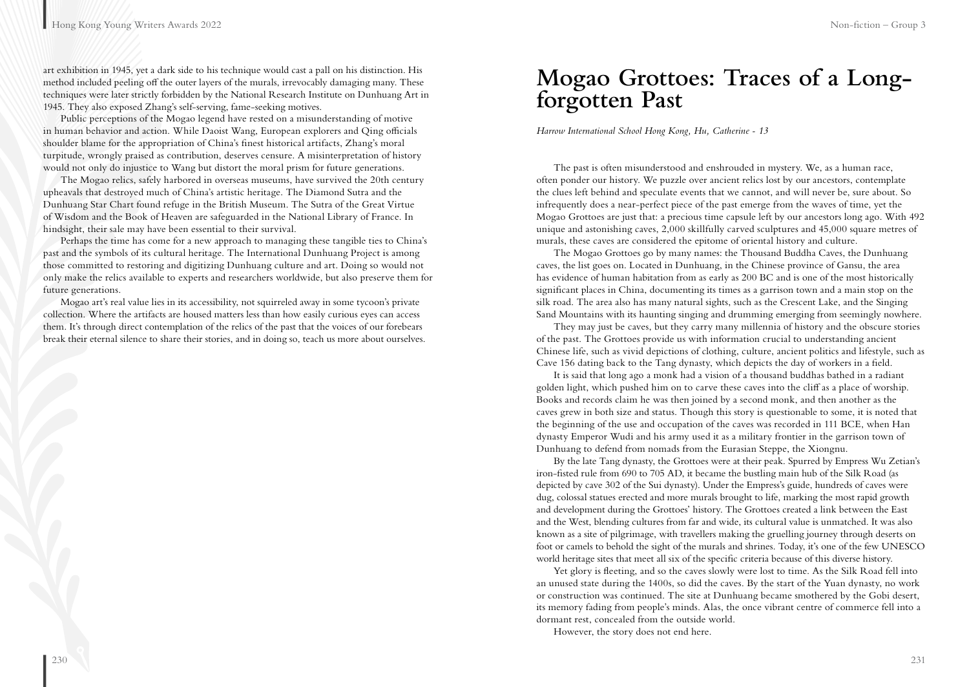art exhibition in 1945, yet a dark side to his technique would cast a pall on his distinction. His method included peeling off the outer layers of the murals, irrevocably damaging many. These techniques were later strictly forbidden by the National Research Institute on Dunhuang Art in 1945. They also exposed Zhang's self-serving, fame-seeking motives.

Public perceptions of the Mogao legend have rested on a misunderstanding of motive in human behavior and action. While Daoist Wang, European explorers and Qing officials shoulder blame for the appropriation of China's finest historical artifacts, Zhang's moral turpitude, wrongly praised as contribution, deserves censure. A misinterpretation of history would not only do injustice to Wang but distort the moral prism for future generations.

The Mogao relics, safely harbored in overseas museums, have survived the 20th century upheavals that destroyed much of China's artistic heritage. The Diamond Sutra and the Dunhuang Star Chart found refuge in the British Museum. The Sutra of the Great Virtue of Wisdom and the Book of Heaven are safeguarded in the National Library of France. In hindsight, their sale may have been essential to their survival.

Perhaps the time has come for a new approach to managing these tangible ties to China's past and the symbols of its cultural heritage. The International Dunhuang Project is among those committed to restoring and digitizing Dunhuang culture and art. Doing so would not only make the relics available to experts and researchers worldwide, but also preserve them for future generations.

Mogao art's real value lies in its accessibility, not squirreled away in some tycoon's private collection. Where the artifacts are housed matters less than how easily curious eyes can access them. It's through direct contemplation of the relics of the past that the voices of our forebears break their eternal silence to share their stories, and in doing so, teach us more about ourselves.

## **Mogao Grottoes: Traces of a Longforgotten Past**

*Harrow International School Hong Kong, Hu, Catherine - 13*

The past is often misunderstood and enshrouded in mystery. We, as a human race, often ponder our history. We puzzle over ancient relics lost by our ancestors, contemplate the clues left behind and speculate events that we cannot, and will never be, sure about. So infrequently does a near-perfect piece of the past emerge from the waves of time, yet the Mogao Grottoes are just that: a precious time capsule left by our ancestors long ago. With 492 unique and astonishing caves, 2,000 skillfully carved sculptures and 45,000 square metres of murals, these caves are considered the epitome of oriental history and culture.

The Mogao Grottoes go by many names: the Thousand Buddha Caves, the Dunhuang caves, the list goes on. Located in Dunhuang, in the Chinese province of Gansu, the area has evidence of human habitation from as early as 200 BC and is one of the most historically significant places in China, documenting its times as a garrison town and a main stop on the silk road. The area also has many natural sights, such as the Crescent Lake, and the Singing Sand Mountains with its haunting singing and drumming emerging from seemingly nowhere.

They may just be caves, but they carry many millennia of history and the obscure stories of the past. The Grottoes provide us with information crucial to understanding ancient Chinese life, such as vivid depictions of clothing, culture, ancient politics and lifestyle, such as Cave 156 dating back to the Tang dynasty, which depicts the day of workers in a field.

It is said that long ago a monk had a vision of a thousand buddhas bathed in a radiant golden light, which pushed him on to carve these caves into the cliff as a place of worship. Books and records claim he was then joined by a second monk, and then another as the caves grew in both size and status. Though this story is questionable to some, it is noted that the beginning of the use and occupation of the caves was recorded in 111 BCE, when Han dynasty Emperor Wudi and his army used it as a military frontier in the garrison town of Dunhuang to defend from nomads from the Eurasian Steppe, the Xiongnu.

By the late Tang dynasty, the Grottoes were at their peak. Spurred by Empress Wu Zetian's iron-fisted rule from 690 to 705 AD, it became the bustling main hub of the Silk Road (as depicted by cave 302 of the Sui dynasty). Under the Empress's guide, hundreds of caves were dug, colossal statues erected and more murals brought to life, marking the most rapid growth and development during the Grottoes' history. The Grottoes created a link between the East and the West, blending cultures from far and wide, its cultural value is unmatched. It was also known as a site of pilgrimage, with travellers making the gruelling journey through deserts on foot or camels to behold the sight of the murals and shrines. Today, it's one of the few UNESCO world heritage sites that meet all six of the specific criteria because of this diverse history.

Yet glory is fleeting, and so the caves slowly were lost to time. As the Silk Road fell into an unused state during the 1400s, so did the caves. By the start of the Yuan dynasty, no work or construction was continued. The site at Dunhuang became smothered by the Gobi desert, its memory fading from people's minds. Alas, the once vibrant centre of commerce fell into a dormant rest, concealed from the outside world.

However, the story does not end here.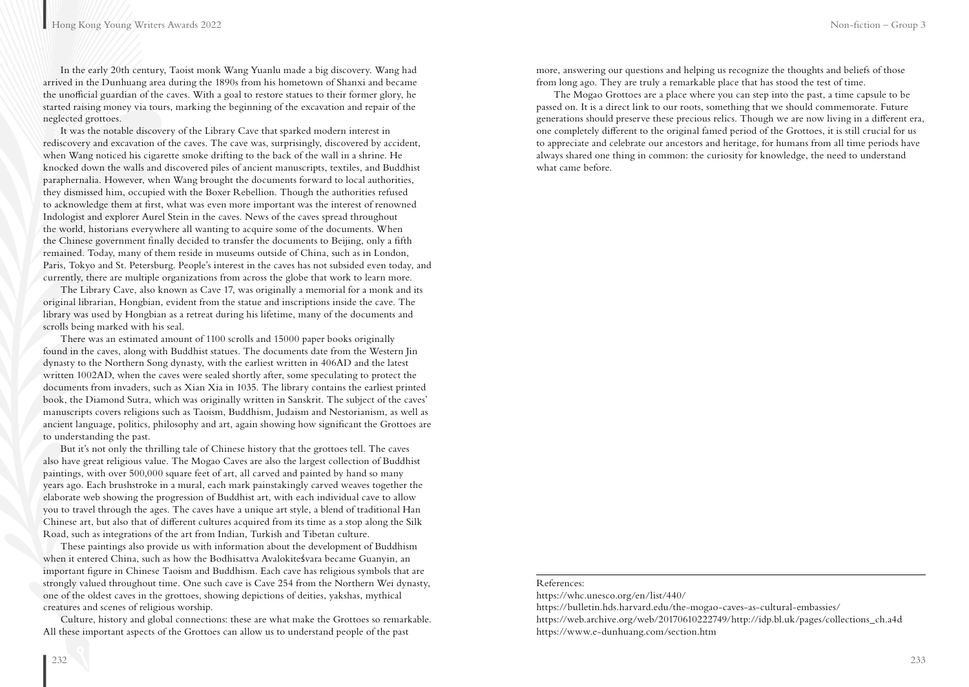In the early 20th century, Taoist monk Wang Yuanlu made a big discovery. Wang had arrived in the Dunhuang area during the 1890s from his hometown of Shanxi and became the unofficial guardian of the caves. With a goal to restore statues to their former glory, he started raising money via tours, marking the beginning of the excavation and repair of the neglected grottoes.

It was the notable discovery of the Library Cave that sparked modern interest in rediscovery and excavation of the caves. The cave was, surprisingly, discovered by accident, when Wang noticed his cigarette smoke drifting to the back of the wall in a shrine. He knocked down the walls and discovered piles of ancient manuscripts, textiles, and Buddhist paraphernalia. However, when Wang brought the documents forward to local authorities, they dismissed him, occupied with the Boxer Rebellion. Though the authorities refused to acknowledge them at first, what was even more important was the interest of renowned Indologist and explorer Aurel Stein in the caves. News of the caves spread throughout the world, historians everywhere all wanting to acquire some of the documents. When the Chinese government finally decided to transfer the documents to Beijing, only a fifth remained. Today, many of them reside in museums outside of China, such as in London, Paris, Tokyo and St. Petersburg. People's interest in the caves has not subsided even today, and currently, there are multiple organizations from across the globe that work to learn more.

The Library Cave, also known as Cave 17, was originally a memorial for a monk and its original librarian, Hongbian, evident from the statue and inscriptions inside the cave. The library was used by Hongbian as a retreat during his lifetime, many of the documents and scrolls being marked with his seal.

There was an estimated amount of 1100 scrolls and 15000 paper books originally found in the caves, along with Buddhist statues. The documents date from the Western Jin dynasty to the Northern Song dynasty, with the earliest written in 406AD and the latest written 1002AD, when the caves were sealed shortly after, some speculating to protect the documents from invaders, such as Xian Xia in 1035. The library contains the earliest printed book, the Diamond Sutra, which was originally written in Sanskrit. The subject of the caves' manuscripts covers religions such as Taoism, Buddhism, Judaism and Nestorianism, as well as ancient language, politics, philosophy and art, again showing how significant the Grottoes are to understanding the past.

But it's not only the thrilling tale of Chinese history that the grottoes tell. The caves also have great religious value. The Mogao Caves are also the largest collection of Buddhist paintings, with over 500,000 square feet of art, all carved and painted by hand so many years ago. Each brushstroke in a mural, each mark painstakingly carved weaves together the elaborate web showing the progression of Buddhist art, with each individual cave to allow you to travel through the ages. The caves have a unique art style, a blend of traditional Han Chinese art, but also that of different cultures acquired from its time as a stop along the Silk Road, such as integrations of the art from Indian, Turkish and Tibetan culture.

These paintings also provide us with information about the development of Buddhism when it entered China, such as how the Bodhisattva Avalokiteśvara became Guanyin, an important figure in Chinese Taoism and Buddhism. Each cave has religious symbols that are strongly valued throughout time. One such cave is Cave 254 from the Northern Wei dynasty, one of the oldest caves in the grottoes, showing depictions of deities, yakshas, mythical creatures and scenes of religious worship.

Culture, history and global connections: these are what make the Grottoes so remarkable. All these important aspects of the Grottoes can allow us to understand people of the past

more, answering our questions and helping us recognize the thoughts and beliefs of those from long ago. They are truly a remarkable place that has stood the test of time.

The Mogao Grottoes are a place where you can step into the past, a time capsule to be passed on. It is a direct link to our roots, something that we should commemorate. Future generations should preserve these precious relics. Though we are now living in a different era, one completely different to the original famed period of the Grottoes, it is still crucial for us to appreciate and celebrate our ancestors and heritage, for humans from all time periods have always shared one thing in common: the curiosity for knowledge, the need to understand what came before.

#### References:

https://whc.unesco.org/en/list/440/

https://bulletin.hds.harvard.edu/the-mogao-caves-as-cultural-embassies/

https://web.archive.org/web/20170610222749/http://idp.bl.uk/pages/collections\_ch.a4d https://www.e-dunhuang.com/section.htm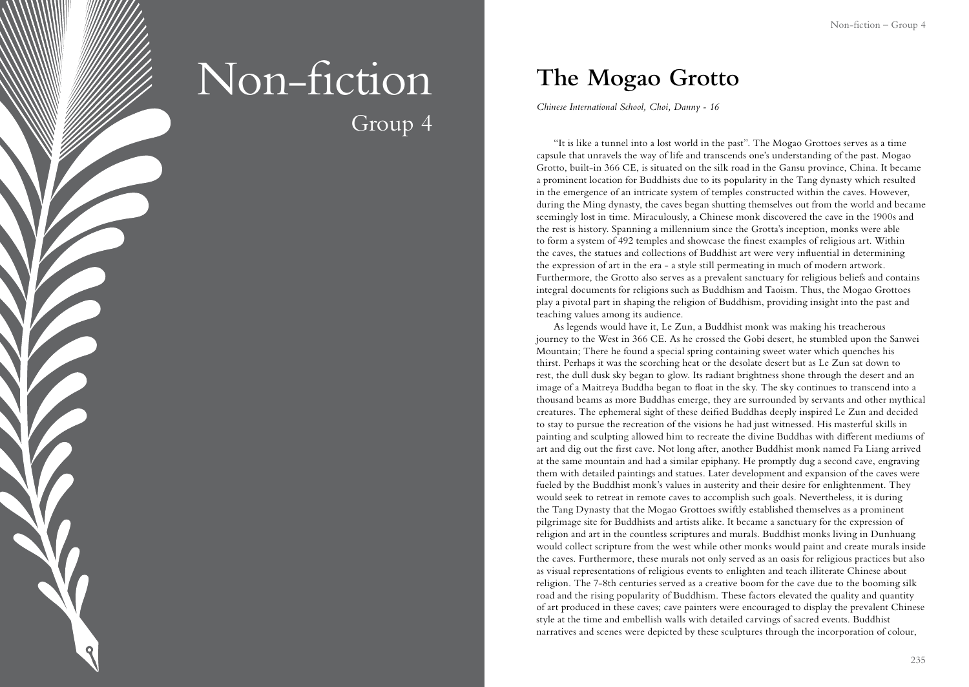# Non-fiction Group 4

**The Mogao Grotto**

*Chinese International School, Choi, Danny - 16*

"It is like a tunnel into a lost world in the past". The Mogao Grottoes serves as a time capsule that unravels the way of life and transcends one's understanding of the past. Mogao Grotto, built-in 366 CE, is situated on the silk road in the Gansu province, China. It became a prominent location for Buddhists due to its popularity in the Tang dynasty which resulted in the emergence of an intricate system of temples constructed within the caves. However, during the Ming dynasty, the caves began shutting themselves out from the world and became seemingly lost in time. Miraculously, a Chinese monk discovered the cave in the 1900s and the rest is history. Spanning a millennium since the Grotta's inception, monks were able to form a system of 492 temples and showcase the finest examples of religious art. Within the caves, the statues and collections of Buddhist art were very influential in determining the expression of art in the era - a style still permeating in much of modern artwork. Furthermore, the Grotto also serves as a prevalent sanctuary for religious beliefs and contains integral documents for religions such as Buddhism and Taoism. Thus, the Mogao Grottoes play a pivotal part in shaping the religion of Buddhism, providing insight into the past and teaching values among its audience.

As legends would have it, Le Zun, a Buddhist monk was making his treacherous journey to the West in 366 CE. As he crossed the Gobi desert, he stumbled upon the Sanwei Mountain; There he found a special spring containing sweet water which quenches his thirst. Perhaps it was the scorching heat or the desolate desert but as Le Zun sat down to rest, the dull dusk sky began to glow. Its radiant brightness shone through the desert and an image of a Maitreya Buddha began to float in the sky. The sky continues to transcend into a thousand beams as more Buddhas emerge, they are surrounded by servants and other mythical creatures. The ephemeral sight of these deified Buddhas deeply inspired Le Zun and decided to stay to pursue the recreation of the visions he had just witnessed. His masterful skills in painting and sculpting allowed him to recreate the divine Buddhas with different mediums of art and dig out the first cave. Not long after, another Buddhist monk named Fa Liang arrived at the same mountain and had a similar epiphany. He promptly dug a second cave, engraving them with detailed paintings and statues. Later development and expansion of the caves were fueled by the Buddhist monk's values in austerity and their desire for enlightenment. They would seek to retreat in remote caves to accomplish such goals. Nevertheless, it is during the Tang Dynasty that the Mogao Grottoes swiftly established themselves as a prominent pilgrimage site for Buddhists and artists alike. It became a sanctuary for the expression of religion and art in the countless scriptures and murals. Buddhist monks living in Dunhuang would collect scripture from the west while other monks would paint and create murals inside the caves. Furthermore, these murals not only served as an oasis for religious practices but also as visual representations of religious events to enlighten and teach illiterate Chinese about religion. The 7-8th centuries served as a creative boom for the cave due to the booming silk road and the rising popularity of Buddhism. These factors elevated the quality and quantity of art produced in these caves; cave painters were encouraged to display the prevalent Chinese style at the time and embellish walls with detailed carvings of sacred events. Buddhist narratives and scenes were depicted by these sculptures through the incorporation of colour,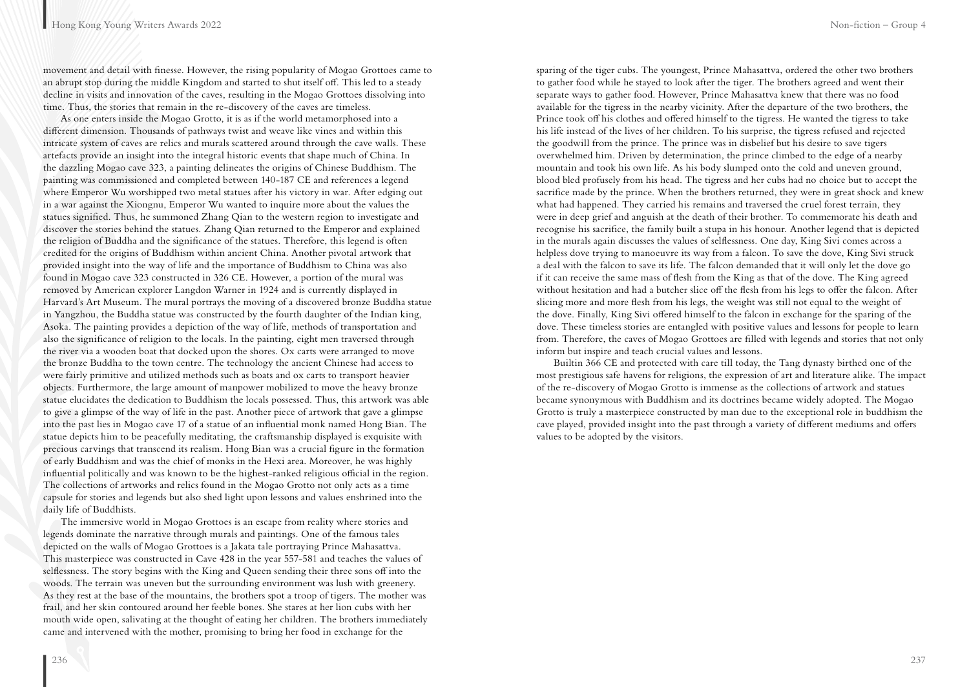movement and detail with finesse. However, the rising popularity of Mogao Grottoes came to an abrupt stop during the middle Kingdom and started to shut itself off. This led to a steady decline in visits and innovation of the caves, resulting in the Mogao Grottoes dissolving into time. Thus, the stories that remain in the re-discovery of the caves are timeless.

As one enters inside the Mogao Grotto, it is as if the world metamorphosed into a different dimension. Thousands of pathways twist and weave like vines and within this intricate system of caves are relics and murals scattered around through the cave walls. These artefacts provide an insight into the integral historic events that shape much of China. In the dazzling Mogao cave 323, a painting delineates the origins of Chinese Buddhism. The painting was commissioned and completed between 140-187 CE and references a legend where Emperor Wu worshipped two metal statues after his victory in war. After edging out in a war against the Xiongnu, Emperor Wu wanted to inquire more about the values the statues signified. Thus, he summoned Zhang Qian to the western region to investigate and discover the stories behind the statues. Zhang Qian returned to the Emperor and explained the religion of Buddha and the significance of the statues. Therefore, this legend is often credited for the origins of Buddhism within ancient China. Another pivotal artwork that provided insight into the way of life and the importance of Buddhism to China was also found in Mogao cave 323 constructed in 326 CE. However, a portion of the mural was removed by American explorer Langdon Warner in 1924 and is currently displayed in Harvard's Art Museum. The mural portrays the moving of a discovered bronze Buddha statue in Yangzhou, the Buddha statue was constructed by the fourth daughter of the Indian king, Asoka. The painting provides a depiction of the way of life, methods of transportation and also the significance of religion to the locals. In the painting, eight men traversed through the river via a wooden boat that docked upon the shores. Ox carts were arranged to move the bronze Buddha to the town centre. The technology the ancient Chinese had access to were fairly primitive and utilized methods such as boats and ox carts to transport heavier objects. Furthermore, the large amount of manpower mobilized to move the heavy bronze statue elucidates the dedication to Buddhism the locals possessed. Thus, this artwork was able to give a glimpse of the way of life in the past. Another piece of artwork that gave a glimpse into the past lies in Mogao cave 17 of a statue of an influential monk named Hong Bian. The statue depicts him to be peacefully meditating, the craftsmanship displayed is exquisite with precious carvings that transcend its realism. Hong Bian was a crucial figure in the formation of early Buddhism and was the chief of monks in the Hexi area. Moreover, he was highly influential politically and was known to be the highest-ranked religious official in the region. The collections of artworks and relics found in the Mogao Grotto not only acts as a time capsule for stories and legends but also shed light upon lessons and values enshrined into the daily life of Buddhists.

The immersive world in Mogao Grottoes is an escape from reality where stories and legends dominate the narrative through murals and paintings. One of the famous tales depicted on the walls of Mogao Grottoes is a Jakata tale portraying Prince Mahasattva. This masterpiece was constructed in Cave 428 in the year 557-581 and teaches the values of selflessness. The story begins with the King and Queen sending their three sons off into the woods. The terrain was uneven but the surrounding environment was lush with greenery. As they rest at the base of the mountains, the brothers spot a troop of tigers. The mother was frail, and her skin contoured around her feeble bones. She stares at her lion cubs with her mouth wide open, salivating at the thought of eating her children. The brothers immediately came and intervened with the mother, promising to bring her food in exchange for the

sparing of the tiger cubs. The youngest, Prince Mahasattva, ordered the other two brothers to gather food while he stayed to look after the tiger. The brothers agreed and went their separate ways to gather food. However, Prince Mahasattva knew that there was no food available for the tigress in the nearby vicinity. After the departure of the two brothers, the Prince took off his clothes and offered himself to the tigress. He wanted the tigress to take his life instead of the lives of her children. To his surprise, the tigress refused and rejected the goodwill from the prince. The prince was in disbelief but his desire to save tigers overwhelmed him. Driven by determination, the prince climbed to the edge of a nearby mountain and took his own life. As his body slumped onto the cold and uneven ground, blood bled profusely from his head. The tigress and her cubs had no choice but to accept the sacrifice made by the prince. When the brothers returned, they were in great shock and knew what had happened. They carried his remains and traversed the cruel forest terrain, they were in deep grief and anguish at the death of their brother. To commemorate his death and recognise his sacrifice, the family built a stupa in his honour. Another legend that is depicted in the murals again discusses the values of selflessness. One day, King Sivi comes across a helpless dove trying to manoeuvre its way from a falcon. To save the dove, King Sivi struck a deal with the falcon to save its life. The falcon demanded that it will only let the dove go if it can receive the same mass of flesh from the King as that of the dove. The King agreed without hesitation and had a butcher slice off the flesh from his legs to offer the falcon. After slicing more and more flesh from his legs, the weight was still not equal to the weight of the dove. Finally, King Sivi offered himself to the falcon in exchange for the sparing of the dove. These timeless stories are entangled with positive values and lessons for people to learn from. Therefore, the caves of Mogao Grottoes are filled with legends and stories that not only inform but inspire and teach crucial values and lessons.

Builtin 366 CE and protected with care till today, the Tang dynasty birthed one of the most prestigious safe havens for religions, the expression of art and literature alike. The impact of the re-discovery of Mogao Grotto is immense as the collections of artwork and statues became synonymous with Buddhism and its doctrines became widely adopted. The Mogao Grotto is truly a masterpiece constructed by man due to the exceptional role in buddhism the cave played, provided insight into the past through a variety of different mediums and offers values to be adopted by the visitors.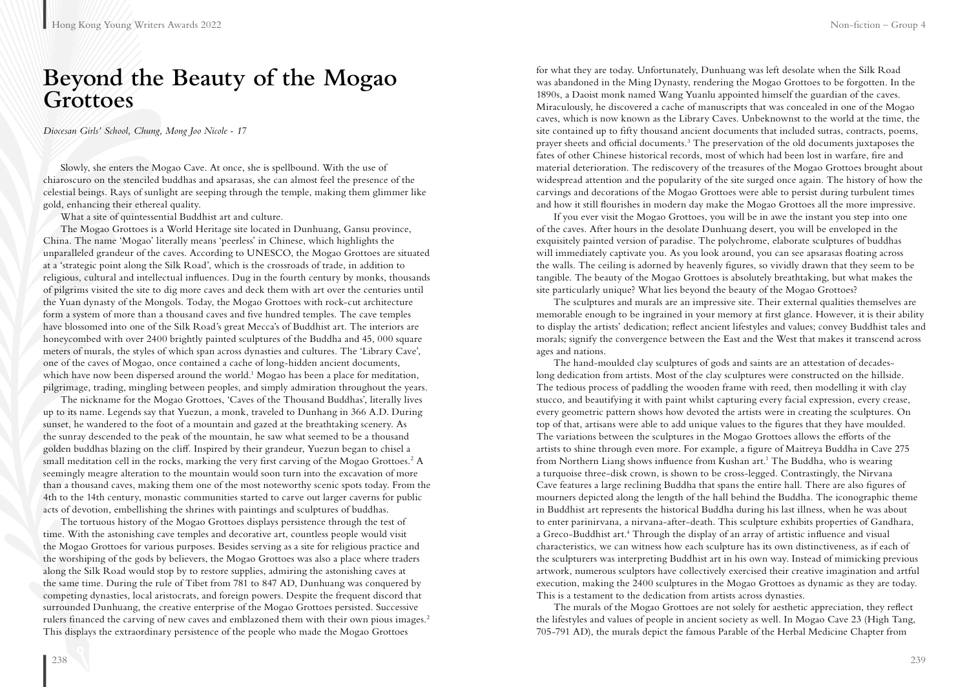## **Beyond the Beauty of the Mogao Grottoes**

*Diocesan Girls' School, Chung, Mong Joo Nicole - 17*

Slowly, she enters the Mogao Cave. At once, she is spellbound. With the use of chiaroscuro on the stenciled buddhas and apsarasas, she can almost feel the presence of the celestial beings. Rays of sunlight are seeping through the temple, making them glimmer like gold, enhancing their ethereal quality.

What a site of quintessential Buddhist art and culture.

The Mogao Grottoes is a World Heritage site located in Dunhuang, Gansu province, China. The name 'Mogao' literally means 'peerless' in Chinese, which highlights the unparalleled grandeur of the caves. According to UNESCO, the Mogao Grottoes are situated at a 'strategic point along the Silk Road', which is the crossroads of trade, in addition to religious, cultural and intellectual influences. Dug in the fourth century by monks, thousands of pilgrims visited the site to dig more caves and deck them with art over the centuries until the Yuan dynasty of the Mongols. Today, the Mogao Grottoes with rock-cut architecture form a system of more than a thousand caves and five hundred temples. The cave temples have blossomed into one of the Silk Road's great Mecca's of Buddhist art. The interiors are honeycombed with over 2400 brightly painted sculptures of the Buddha and 45, 000 square meters of murals, the styles of which span across dynasties and cultures. The 'Library Cave', one of the caves of Mogao, once contained a cache of long-hidden ancient documents, which have now been dispersed around the world.<sup>1</sup> Mogao has been a place for meditation, pilgrimage, trading, mingling between peoples, and simply admiration throughout the years.

The nickname for the Mogao Grottoes, 'Caves of the Thousand Buddhas', literally lives up to its name. Legends say that Yuezun, a monk, traveled to Dunhang in 366 A.D. During sunset, he wandered to the foot of a mountain and gazed at the breathtaking scenery. As the sunray descended to the peak of the mountain, he saw what seemed to be a thousand golden buddhas blazing on the cliff. Inspired by their grandeur, Yuezun began to chisel a small meditation cell in the rocks, marking the very first carving of the Mogao Grottoes.<sup>2</sup> A seemingly meagre alteration to the mountain would soon turn into the excavation of more than a thousand caves, making them one of the most noteworthy scenic spots today. From the 4th to the 14th century, monastic communities started to carve out larger caverns for public acts of devotion, embellishing the shrines with paintings and sculptures of buddhas.

The tortuous history of the Mogao Grottoes displays persistence through the test of time. With the astonishing cave temples and decorative art, countless people would visit the Mogao Grottoes for various purposes. Besides serving as a site for religious practice and the worshiping of the gods by believers, the Mogao Grottoes was also a place where traders along the Silk Road would stop by to restore supplies, admiring the astonishing caves at the same time. During the rule of Tibet from 781 to 847 AD, Dunhuang was conquered by competing dynasties, local aristocrats, and foreign powers. Despite the frequent discord that surrounded Dunhuang, the creative enterprise of the Mogao Grottoes persisted. Successive rulers financed the carving of new caves and emblazoned them with their own pious images.2 This displays the extraordinary persistence of the people who made the Mogao Grottoes

for what they are today. Unfortunately, Dunhuang was left desolate when the Silk Road was abandoned in the Ming Dynasty, rendering the Mogao Grottoes to be forgotten. In the 1890s, a Daoist monk named Wang Yuanlu appointed himself the guardian of the caves. Miraculously, he discovered a cache of manuscripts that was concealed in one of the Mogao caves, which is now known as the Library Caves. Unbeknownst to the world at the time, the site contained up to fifty thousand ancient documents that included sutras, contracts, poems, prayer sheets and official documents.<sup>3</sup> The preservation of the old documents juxtaposes the fates of other Chinese historical records, most of which had been lost in warfare, fire and material deterioration. The rediscovery of the treasures of the Mogao Grottoes brought about widespread attention and the popularity of the site surged once again. The history of how the carvings and decorations of the Mogao Grottoes were able to persist during turbulent times and how it still flourishes in modern day make the Mogao Grottoes all the more impressive.

If you ever visit the Mogao Grottoes, you will be in awe the instant you step into one of the caves. After hours in the desolate Dunhuang desert, you will be enveloped in the exquisitely painted version of paradise. The polychrome, elaborate sculptures of buddhas will immediately captivate you. As you look around, you can see apsarasas floating across the walls. The ceiling is adorned by heavenly figures, so vividly drawn that they seem to be tangible. The beauty of the Mogao Grottoes is absolutely breathtaking, but what makes the site particularly unique? What lies beyond the beauty of the Mogao Grottoes?

The sculptures and murals are an impressive site. Their external qualities themselves are memorable enough to be ingrained in your memory at first glance. However, it is their ability to display the artists' dedication; reflect ancient lifestyles and values; convey Buddhist tales and morals; signify the convergence between the East and the West that makes it transcend across ages and nations.

The hand-moulded clay sculptures of gods and saints are an attestation of decadeslong dedication from artists. Most of the clay sculptures were constructed on the hillside. The tedious process of paddling the wooden frame with reed, then modelling it with clay stucco, and beautifying it with paint whilst capturing every facial expression, every crease, every geometric pattern shows how devoted the artists were in creating the sculptures. On top of that, artisans were able to add unique values to the figures that they have moulded. The variations between the sculptures in the Mogao Grottoes allows the efforts of the artists to shine through even more. For example, a figure of Maitreya Buddha in Cave 275 from Northern Liang shows influence from Kushan art.<sup>1</sup> The Buddha, who is wearing a turquoise three-disk crown, is shown to be cross-legged. Contrastingly, the Nirvana Cave features a large reclining Buddha that spans the entire hall. There are also figures of mourners depicted along the length of the hall behind the Buddha. The iconographic theme in Buddhist art represents the historical Buddha during his last illness, when he was about to enter parinirvana, a nirvana-after-death. This sculpture exhibits properties of Gandhara, a Greco-Buddhist art.<sup>4</sup> Through the display of an array of artistic influence and visual characteristics, we can witness how each sculpture has its own distinctiveness, as if each of the sculpturers was interpreting Buddhist art in his own way. Instead of mimicking previous artwork, numerous sculptors have collectively exercised their creative imagination and artful execution, making the 2400 sculptures in the Mogao Grottoes as dynamic as they are today. This is a testament to the dedication from artists across dynasties.

The murals of the Mogao Grottoes are not solely for aesthetic appreciation, they reflect the lifestyles and values of people in ancient society as well. In Mogao Cave 23 (High Tang, 705-791 AD), the murals depict the famous Parable of the Herbal Medicine Chapter from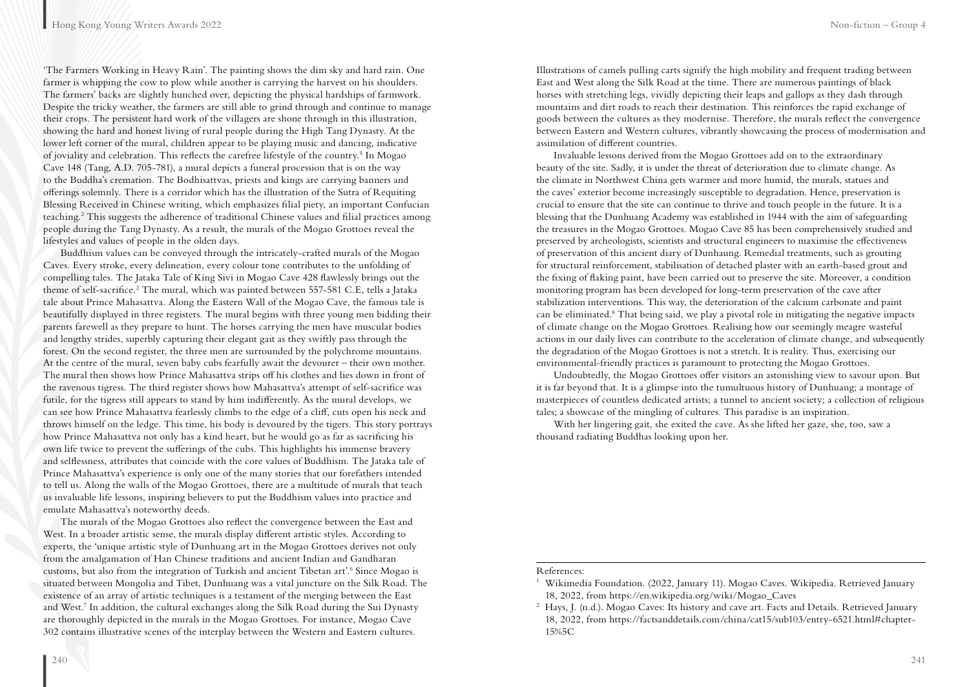'The Farmers Working in Heavy Rain'. The painting shows the dim sky and hard rain. One farmer is whipping the cow to plow while another is carrying the harvest on his shoulders. The farmers' backs are slightly hunched over, depicting the physical hardships of farmwork. Despite the tricky weather, the farmers are still able to grind through and continue to manage their crops. The persistent hard work of the villagers are shone through in this illustration, showing the hard and honest living of rural people during the High Tang Dynasty. At the lower left corner of the mural, children appear to be playing music and dancing, indicative of joviality and celebration. This reflects the carefree lifestyle of the country.<sup>5</sup> In Mogao Cave 148 (Tang, A.D. 705-781), a mural depicts a funeral procession that is on the way to the Buddha's cremation. The Bodhisattvas, priests and kings are carrying banners and offerings solemnly. There is a corridor which has the illustration of the Sutra of Requiting Blessing Received in Chinese writing, which emphasizes filial piety, an important Confucian teaching.<sup>2</sup> This suggests the adherence of traditional Chinese values and filial practices among people during the Tang Dynasty. As a result, the murals of the Mogao Grottoes reveal the lifestyles and values of people in the olden days.

Buddhism values can be conveyed through the intricately-crafted murals of the Mogao Caves. Every stroke, every delineation, every colour tone contributes to the unfolding of compelling tales. The Jataka Tale of King Sivi in Mogao Cave 428 flawlessly brings out the theme of self-sacrifice.<sup>2</sup> The mural, which was painted between 557-581 C.E, tells a Jataka tale about Prince Mahasattva. Along the Eastern Wall of the Mogao Cave, the famous tale is beautifully displayed in three registers. The mural begins with three young men bidding their parents farewell as they prepare to hunt. The horses carrying the men have muscular bodies and lengthy strides, superbly capturing their elegant gait as they swiftly pass through the forest. On the second register, the three men are surrounded by the polychrome mountains. At the centre of the mural, seven baby cubs fearfully await the devourer – their own mother. The mural then shows how Prince Mahasattva strips off his clothes and lies down in front of the ravenous tigress. The third register shows how Mahasattva's attempt of self-sacrifice was futile, for the tigress still appears to stand by him indifferently. As the mural develops, we can see how Prince Mahasattva fearlessly climbs to the edge of a cliff, cuts open his neck and throws himself on the ledge. This time, his body is devoured by the tigers. This story portrays how Prince Mahasattva not only has a kind heart, but he would go as far as sacrificing his own life twice to prevent the sufferings of the cubs. This highlights his immense bravery and selflessness, attributes that coincide with the core values of Buddhism. The Jataka tale of Prince Mahasattva's experience is only one of the many stories that our forefathers intended to tell us. Along the walls of the Mogao Grottoes, there are a multitude of murals that teach us invaluable life lessons, inspiring believers to put the Buddhism values into practice and emulate Mahasattva's noteworthy deeds.

The murals of the Mogao Grottoes also reflect the convergence between the East and West. In a broader artistic sense, the murals display different artistic styles. According to experts, the 'unique artistic style of Dunhuang art in the Mogao Grottoes derives not only from the amalgamation of Han Chinese traditions and ancient Indian and Gandharan customs, but also from the integration of Turkish and ancient Tibetan art'.<sup>6</sup> Since Mogao is situated between Mongolia and Tibet, Dunhuang was a vital juncture on the Silk Road. The existence of an array of artistic techniques is a testament of the merging between the East and West.7 In addition, the cultural exchanges along the Silk Road during the Sui Dynasty are thoroughly depicted in the murals in the Mogao Grottoes. For instance, Mogao Cave 302 contains illustrative scenes of the interplay between the Western and Eastern cultures.

Illustrations of camels pulling carts signify the high mobility and frequent trading between East and West along the Silk Road at the time. There are numerous paintings of black horses with stretching legs, vividly depicting their leaps and gallops as they dash through mountains and dirt roads to reach their destination. This reinforces the rapid exchange of goods between the cultures as they modernise. Therefore, the murals reflect the convergence between Eastern and Western cultures, vibrantly showcasing the process of modernisation and assimilation of different countries.

Invaluable lessons derived from the Mogao Grottoes add on to the extraordinary beauty of the site. Sadly, it is under the threat of deterioration due to climate change. As the climate in Northwest China gets warmer and more humid, the murals, statues and the caves' exterior become increasingly susceptible to degradation. Hence, preservation is crucial to ensure that the site can continue to thrive and touch people in the future. It is a blessing that the Dunhuang Academy was established in 1944 with the aim of safeguarding the treasures in the Mogao Grottoes. Mogao Cave 85 has been comprehensively studied and preserved by archeologists, scientists and structural engineers to maximise the effectiveness of preservation of this ancient diary of Dunhaung. Remedial treatments, such as grouting for structural reinforcement, stabilisation of detached plaster with an earth-based grout and the fixing of flaking paint, have been carried out to preserve the site. Moreover, a condition monitoring program has been developed for long-term preservation of the cave after stabilization interventions. This way, the deterioration of the calcium carbonate and paint can be eliminated.8 That being said, we play a pivotal role in mitigating the negative impacts of climate change on the Mogao Grottoes. Realising how our seemingly meagre wasteful actions in our daily lives can contribute to the acceleration of climate change, and subsequently the degradation of the Mogao Grottoes is not a stretch. It is reality. Thus, exercising our environmental-friendly practices is paramount to protecting the Mogao Grottoes.

Undoubtedly, the Mogao Grottoes offer visitors an astonishing view to savour upon. But it is far beyond that. It is a glimpse into the tumultuous history of Dunhuang; a montage of masterpieces of countless dedicated artists; a tunnel to ancient society; a collection of religious tales; a showcase of the mingling of cultures. This paradise is an inspiration.

With her lingering gait, she exited the cave. As she lifted her gaze, she, too, saw a thousand radiating Buddhas looking upon her.

#### References:

<sup>&</sup>lt;sup>1</sup> Wikimedia Foundation. (2022, January 11). Mogao Caves. Wikipedia. Retrieved January 18, 2022, from https://en.wikipedia.org/wiki/Mogao\_Caves

<sup>&</sup>lt;sup>2</sup> Hays, J. (n.d.). Mogao Caves: Its history and cave art. Facts and Details. Retrieved January 18, 2022, from https://factsanddetails.com/china/cat15/sub103/entry-6521.html#chapter-15%5C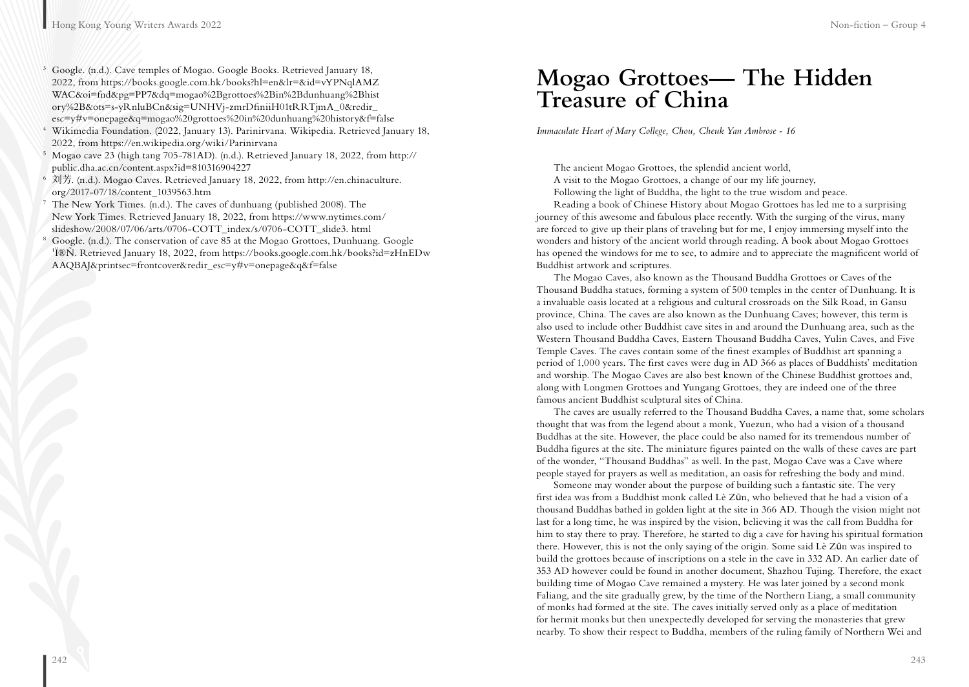- <sup>3</sup> Google. (n.d.). Cave temples of Mogao. Google Books. Retrieved January 18, 2022, from https://books.google.com.hk/books?hl=en&lr=&id=vYPNqlAMZ WAC&oi=fnd&pg=PP7&dq=mogao%2Bgrottoes%2Bin%2Bdunhuang%2Bhist ory%2B&ots=s-yRnluBCn&sig=UNHVj-zmrDfiniiH01tRRTjmA\_0&redir\_ esc=y#v=onepage&q=mogao%20grottoes%20in%20dunhuang%20history&f=false
- <sup>4</sup> Wikimedia Foundation. (2022, January 13). Parinirvana. Wikipedia. Retrieved January 18, 2022, from https://en.wikipedia.org/wiki/Parinirvana
- <sup>5</sup> Mogao cave 23 (high tang 705-781AD). (n.d.). Retrieved January 18, 2022, from http:// public.dha.ac.cn/content.aspx?id=810316904227
- <sup>6</sup> 刘芳. (n.d.). Mogao Caves. Retrieved January 18, 2022, from http://en.chinaculture. org/2017-07/18/content\_1039563.htm
- $7$  The New York Times. (n.d.). The caves of dunhuang (published 2008). The New York Times. Retrieved January 18, 2022, from https://www.nytimes.com/ slideshow/2008/07/06/arts/0706-COTT\_index/s/0706-COTT\_slide3. html
- $8^8$  Google. (n.d.). The conservation of cave 85 at the Mogao Grottoes, Dunhuang. Google <sup>1</sup>쨄. Retrieved January 18, 2022, from https://books.google.com.hk/books?id=zHnEDw AAQBAJ&printsec=frontcover&redir\_esc=y#v=onepage&q&f=false

## **Mogao Grottoes— The Hidden Treasure of China**

*Immaculate Heart of Mary College, Chou, Cheuk Yan Ambrose - 16*

The ancient Mogao Grottoes, the splendid ancient world, A visit to the Mogao Grottoes, a change of our my life journey, Following the light of Buddha, the light to the true wisdom and peace.

Reading a book of Chinese History about Mogao Grottoes has led me to a surprising journey of this awesome and fabulous place recently. With the surging of the virus, many are forced to give up their plans of traveling but for me, I enjoy immersing myself into the wonders and history of the ancient world through reading. A book about Mogao Grottoes has opened the windows for me to see, to admire and to appreciate the magnificent world of Buddhist artwork and scriptures.

The Mogao Caves, also known as the Thousand Buddha Grottoes or Caves of the Thousand Buddha statues, forming a system of 500 temples in the center of Dunhuang. It is a invaluable oasis located at a religious and cultural crossroads on the Silk Road, in Gansu province, China. The caves are also known as the Dunhuang Caves; however, this term is also used to include other Buddhist cave sites in and around the Dunhuang area, such as the Western Thousand Buddha Caves, Eastern Thousand Buddha Caves, Yulin Caves, and Five Temple Caves. The caves contain some of the finest examples of Buddhist art spanning a period of 1,000 years. The first caves were dug in AD 366 as places of Buddhists' meditation and worship. The Mogao Caves are also best known of the Chinese Buddhist grottoes and, along with Longmen Grottoes and Yungang Grottoes, they are indeed one of the three famous ancient Buddhist sculptural sites of China.

The caves are usually referred to the Thousand Buddha Caves, a name that, some scholars thought that was from the legend about a monk, Yuezun, who had a vision of a thousand Buddhas at the site. However, the place could be also named for its tremendous number of Buddha figures at the site. The miniature figures painted on the walls of these caves are part of the wonder, "Thousand Buddhas" as well. In the past, Mogao Cave was a Cave where people stayed for prayers as well as meditation, an oasis for refreshing the body and mind.

Someone may wonder about the purpose of building such a fantastic site. The very first idea was from a Buddhist monk called Lè Zūn, who believed that he had a vision of a thousand Buddhas bathed in golden light at the site in 366 AD. Though the vision might not last for a long time, he was inspired by the vision, believing it was the call from Buddha for him to stay there to pray. Therefore, he started to dig a cave for having his spiritual formation there. However, this is not the only saying of the origin. Some said Lè Zūn was inspired to build the grottoes because of inscriptions on a stele in the cave in 332 AD. An earlier date of 353 AD however could be found in another document, Shazhou Tujing. Therefore, the exact building time of Mogao Cave remained a mystery. He was later joined by a second monk Faliang, and the site gradually grew, by the time of the Northern Liang, a small community of monks had formed at the site. The caves initially served only as a place of meditation for hermit monks but then unexpectedly developed for serving the monasteries that grew nearby. To show their respect to Buddha, members of the ruling family of Northern Wei and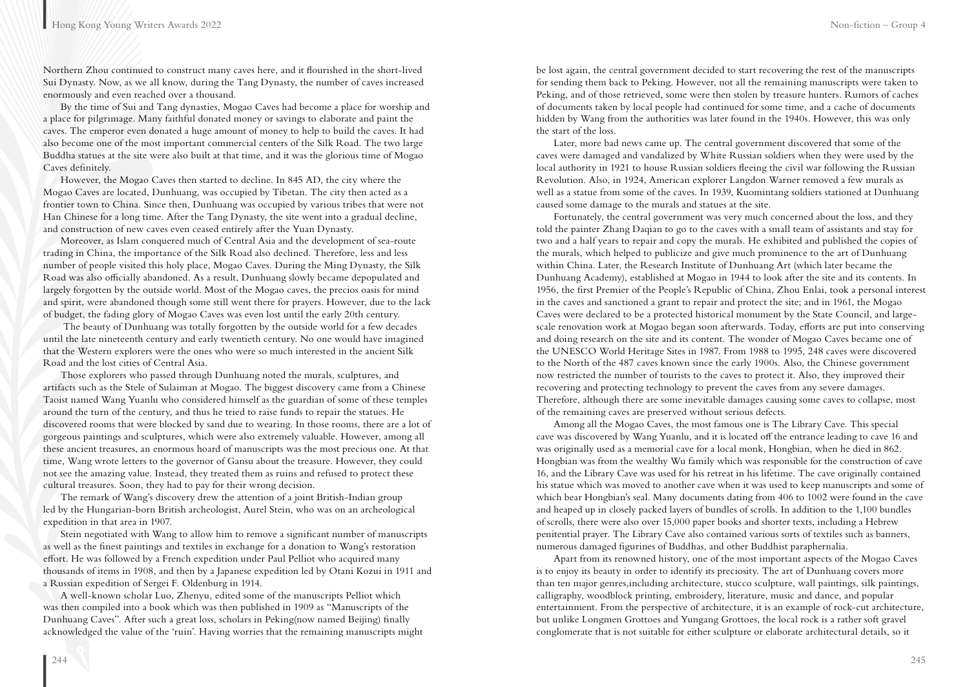Northern Zhou continued to construct many caves here, and it flourished in the short-lived Sui Dynasty. Now, as we all know, during the Tang Dynasty, the number of caves increased enormously and even reached over a thousand.

By the time of Sui and Tang dynasties, Mogao Caves had become a place for worship and a place for pilgrimage. Many faithful donated money or savings to elaborate and paint the caves. The emperor even donated a huge amount of money to help to build the caves. It had also become one of the most important commercial centers of the Silk Road. The two large Buddha statues at the site were also built at that time, and it was the glorious time of Mogao Caves definitely.

However, the Mogao Caves then started to decline. In 845 AD, the city where the Mogao Caves are located, Dunhuang, was occupied by Tibetan. The city then acted as a frontier town to China. Since then, Dunhuang was occupied by various tribes that were not Han Chinese for a long time. After the Tang Dynasty, the site went into a gradual decline, and construction of new caves even ceased entirely after the Yuan Dynasty.

Moreover, as Islam conquered much of Central Asia and the development of sea-route trading in China, the importance of the Silk Road also declined. Therefore, less and less number of people visited this holy place, Mogao Caves. During the Ming Dynasty, the Silk Road was also officially abandoned. As a result, Dunhuang slowly became depopulated and largely forgotten by the outside world. Most of the Mogao caves, the precios oasis for mind and spirit, were abandoned though some still went there for prayers. However, due to the lack of budget, the fading glory of Mogao Caves was even lost until the early 20th century.

 The beauty of Dunhuang was totally forgotten by the outside world for a few decades until the late nineteenth century and early twentieth century. No one would have imagined that the Western explorers were the ones who were so much interested in the ancient Silk Road and the lost cities of Central Asia.

Those explorers who passed through Dunhuang noted the murals, sculptures, and artifacts such as the Stele of Sulaiman at Mogao. The biggest discovery came from a Chinese Taoist named Wang Yuanlu who considered himself as the guardian of some of these temples around the turn of the century, and thus he tried to raise funds to repair the statues. He discovered rooms that were blocked by sand due to wearing. In those rooms, there are a lot of gorgeous paintings and sculptures, which were also extremely valuable. However, among all these ancient treasures, an enormous hoard of manuscripts was the most precious one. At that time, Wang wrote letters to the governor of Gansu about the treasure. However, they could not see the amazing value. Instead, they treated them as ruins and refused to protect these cultural treasures. Soon, they had to pay for their wrong decision.

The remark of Wang's discovery drew the attention of a joint British-Indian group led by the Hungarian-born British archeologist, Aurel Stein, who was on an archeological expedition in that area in 1907.

Stein negotiated with Wang to allow him to remove a significant number of manuscripts as well as the finest paintings and textiles in exchange for a donation to Wang's restoration effort. He was followed by a French expedition under Paul Pelliot who acquired many thousands of items in 1908, and then by a Japanese expedition led by Otani Kozui in 1911 and a Russian expedition of Sergei F. Oldenburg in 1914.

A well-known scholar Luo, Zhenyu, edited some of the manuscripts Pelliot which was then compiled into a book which was then published in 1909 as "Manuscripts of the Dunhuang Caves". After such a great loss, scholars in Peking(now named Beijing) finally acknowledged the value of the 'ruin'. Having worries that the remaining manuscripts might be lost again, the central government decided to start recovering the rest of the manuscripts for sending them back to Peking. However, not all the remaining manuscripts were taken to Peking, and of those retrieved, some were then stolen by treasure hunters. Rumors of caches of documents taken by local people had continued for some time, and a cache of documents hidden by Wang from the authorities was later found in the 1940s. However, this was only the start of the loss.

Later, more bad news came up. The central government discovered that some of the caves were damaged and vandalized by White Russian soldiers when they were used by the local authority in 1921 to house Russian soldiers fleeing the civil war following the Russian Revolution. Also, in 1924, American explorer Langdon Warner removed a few murals as well as a statue from some of the caves. In 1939, Kuomintang soldiers stationed at Dunhuang caused some damage to the murals and statues at the site.

Fortunately, the central government was very much concerned about the loss, and they told the painter Zhang Daqian to go to the caves with a small team of assistants and stay for two and a half years to repair and copy the murals. He exhibited and published the copies of the murals, which helped to publicize and give much prominence to the art of Dunhuang within China. Later, the Research Institute of Dunhuang Art (which later became the Dunhuang Academy), established at Mogao in 1944 to look after the site and its contents. In 1956, the first Premier of the People's Republic of China, Zhou Enlai, took a personal interest in the caves and sanctioned a grant to repair and protect the site; and in 1961, the Mogao Caves were declared to be a protected historical monument by the State Council, and largescale renovation work at Mogao began soon afterwards. Today, efforts are put into conserving and doing research on the site and its content. The wonder of Mogao Caves became one of the UNESCO World Heritage Sites in 1987. From 1988 to 1995, 248 caves were discovered to the North of the 487 caves known since the early 1900s. Also, the Chinese government now restricted the number of tourists to the caves to protect it. Also, they improved their recovering and protecting technology to prevent the caves from any severe damages. Therefore, although there are some inevitable damages causing some caves to collapse, most of the remaining caves are preserved without serious defects.

Among all the Mogao Caves, the most famous one is The Library Cave. This special cave was discovered by Wang Yuanlu, and it is located off the entrance leading to cave 16 and was originally used as a memorial cave for a local monk, Hongbian, when he died in 862. Hongbian was from the wealthy Wu family which was responsible for the construction of cave 16, and the Library Cave was used for his retreat in his lifetime. The cave originally contained his statue which was moved to another cave when it was used to keep manuscripts and some of which bear Hongbian's seal. Many documents dating from 406 to 1002 were found in the cave and heaped up in closely packed layers of bundles of scrolls. In addition to the 1,100 bundles of scrolls, there were also over 15,000 paper books and shorter texts, including a Hebrew penitential prayer. The Library Cave also contained various sorts of textiles such as banners, numerous damaged figurines of Buddhas, and other Buddhist paraphernalia.

Apart from its renowned history, one of the most important aspects of the Mogao Caves is to enjoy its beauty in order to identify its preciosity. The art of Dunhuang covers more than ten major genres,including architecture, stucco sculpture, wall paintings, silk paintings, calligraphy, woodblock printing, embroidery, literature, music and dance, and popular entertainment. From the perspective of architecture, it is an example of rock-cut architecture, but unlike Longmen Grottoes and Yungang Grottoes, the local rock is a rather soft gravel conglomerate that is not suitable for either sculpture or elaborate architectural details, so it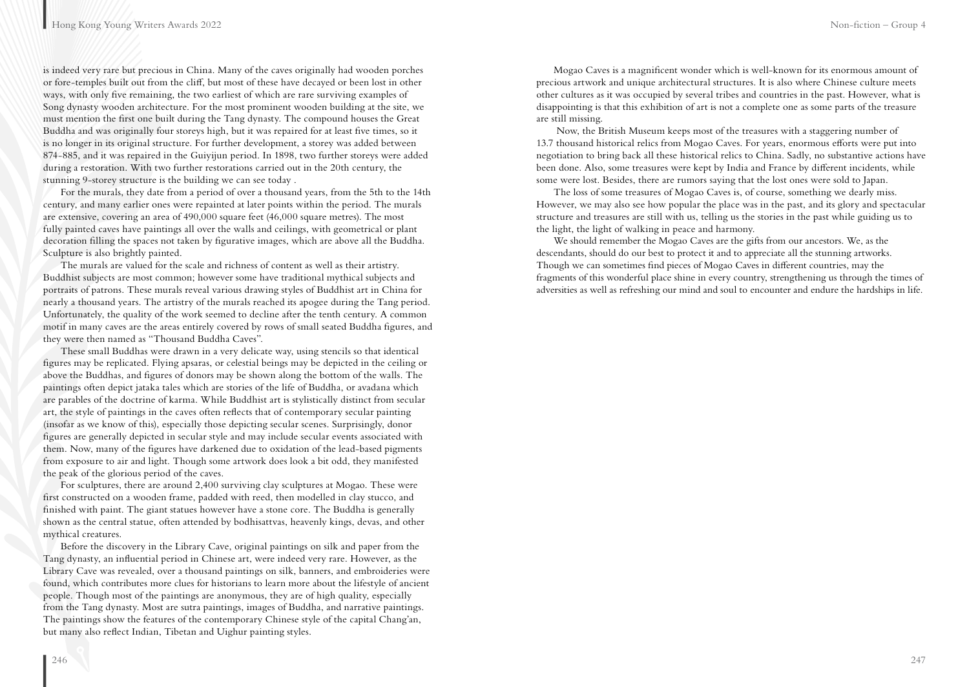is indeed very rare but precious in China. Many of the caves originally had wooden porches or fore-temples built out from the cliff, but most of these have decayed or been lost in other ways, with only five remaining, the two earliest of which are rare surviving examples of Song dynasty wooden architecture. For the most prominent wooden building at the site, we must mention the first one built during the Tang dynasty. The compound houses the Great Buddha and was originally four storeys high, but it was repaired for at least five times, so it is no longer in its original structure. For further development, a storey was added between 874-885, and it was repaired in the Guiyijun period. In 1898, two further storeys were added during a restoration. With two further restorations carried out in the 20th century, the stunning 9-storey structure is the building we can see today .

For the murals, they date from a period of over a thousand years, from the 5th to the 14th century, and many earlier ones were repainted at later points within the period. The murals are extensive, covering an area of 490,000 square feet (46,000 square metres). The most fully painted caves have paintings all over the walls and ceilings, with geometrical or plant decoration filling the spaces not taken by figurative images, which are above all the Buddha. Sculpture is also brightly painted.

The murals are valued for the scale and richness of content as well as their artistry. Buddhist subjects are most common; however some have traditional mythical subjects and portraits of patrons. These murals reveal various drawing styles of Buddhist art in China for nearly a thousand years. The artistry of the murals reached its apogee during the Tang period. Unfortunately, the quality of the work seemed to decline after the tenth century. A common motif in many caves are the areas entirely covered by rows of small seated Buddha figures, and they were then named as "Thousand Buddha Caves".

These small Buddhas were drawn in a very delicate way, using stencils so that identical figures may be replicated. Flying apsaras, or celestial beings may be depicted in the ceiling or above the Buddhas, and figures of donors may be shown along the bottom of the walls. The paintings often depict jataka tales which are stories of the life of Buddha, or avadana which are parables of the doctrine of karma. While Buddhist art is stylistically distinct from secular art, the style of paintings in the caves often reflects that of contemporary secular painting (insofar as we know of this), especially those depicting secular scenes. Surprisingly, donor figures are generally depicted in secular style and may include secular events associated with them. Now, many of the figures have darkened due to oxidation of the lead-based pigments from exposure to air and light. Though some artwork does look a bit odd, they manifested the peak of the glorious period of the caves.

For sculptures, there are around 2,400 surviving clay sculptures at Mogao. These were first constructed on a wooden frame, padded with reed, then modelled in clay stucco, and finished with paint. The giant statues however have a stone core. The Buddha is generally shown as the central statue, often attended by bodhisattvas, heavenly kings, devas, and other mythical creatures.

Before the discovery in the Library Cave, original paintings on silk and paper from the Tang dynasty, an influential period in Chinese art, were indeed very rare. However, as the Library Cave was revealed, over a thousand paintings on silk, banners, and embroideries were found, which contributes more clues for historians to learn more about the lifestyle of ancient people. Though most of the paintings are anonymous, they are of high quality, especially from the Tang dynasty. Most are sutra paintings, images of Buddha, and narrative paintings. The paintings show the features of the contemporary Chinese style of the capital Chang'an, but many also reflect Indian, Tibetan and Uighur painting styles.

Mogao Caves is a magnificent wonder which is well-known for its enormous amount of precious artwork and unique architectural structures. It is also where Chinese culture meets other cultures as it was occupied by several tribes and countries in the past. However, what is disappointing is that this exhibition of art is not a complete one as some parts of the treasure are still missing.

 Now, the British Museum keeps most of the treasures with a staggering number of 13.7 thousand historical relics from Mogao Caves. For years, enormous efforts were put into negotiation to bring back all these historical relics to China. Sadly, no substantive actions have been done. Also, some treasures were kept by India and France by different incidents, while some were lost. Besides, there are rumors saying that the lost ones were sold to Japan.

The loss of some treasures of Mogao Caves is, of course, something we dearly miss. However, we may also see how popular the place was in the past, and its glory and spectacular structure and treasures are still with us, telling us the stories in the past while guiding us to the light, the light of walking in peace and harmony.

We should remember the Mogao Caves are the gifts from our ancestors. We, as the descendants, should do our best to protect it and to appreciate all the stunning artworks. Though we can sometimes find pieces of Mogao Caves in different countries, may the fragments of this wonderful place shine in every country, strengthening us through the times of adversities as well as refreshing our mind and soul to encounter and endure the hardships in life.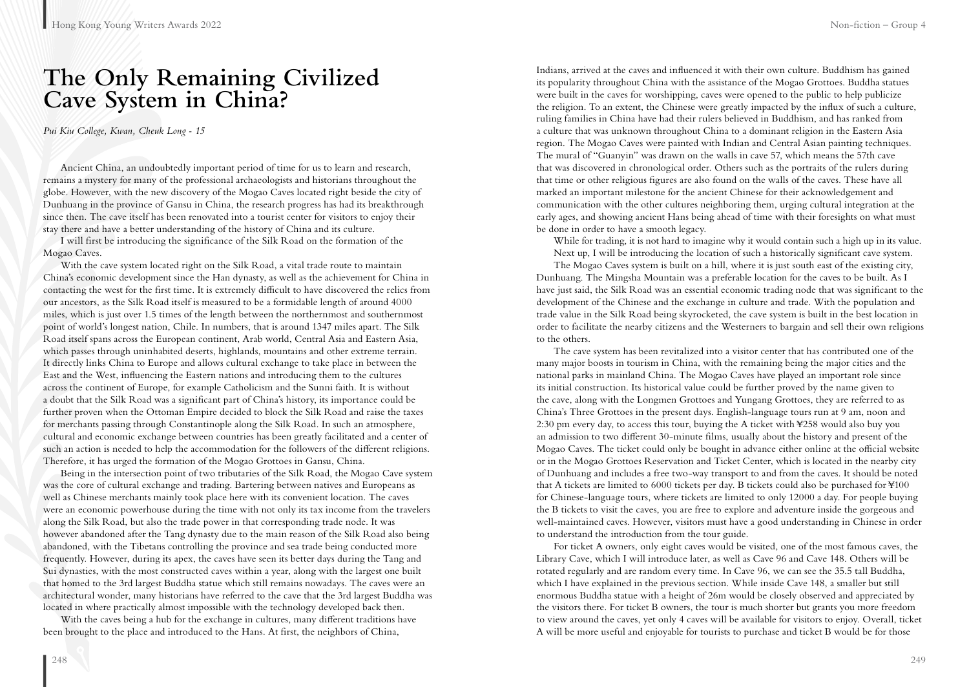## **The Only Remaining Civilized Cave System in China?**

*Pui Kiu College, Kwan, Cheuk Long - 15*

Ancient China, an undoubtedly important period of time for us to learn and research, remains a mystery for many of the professional archaeologists and historians throughout the globe. However, with the new discovery of the Mogao Caves located right beside the city of Dunhuang in the province of Gansu in China, the research progress has had its breakthrough since then. The cave itself has been renovated into a tourist center for visitors to enjoy their stay there and have a better understanding of the history of China and its culture.

I will first be introducing the significance of the Silk Road on the formation of the Mogao Caves.

With the cave system located right on the Silk Road, a vital trade route to maintain China's economic development since the Han dynasty, as well as the achievement for China in contacting the west for the first time. It is extremely difficult to have discovered the relics from our ancestors, as the Silk Road itself is measured to be a formidable length of around 4000 miles, which is just over 1.5 times of the length between the northernmost and southernmost point of world's longest nation, Chile. In numbers, that is around 1347 miles apart. The Silk Road itself spans across the European continent, Arab world, Central Asia and Eastern Asia, which passes through uninhabited deserts, highlands, mountains and other extreme terrain. It directly links China to Europe and allows cultural exchange to take place in between the East and the West, influencing the Eastern nations and introducing them to the cultures across the continent of Europe, for example Catholicism and the Sunni faith. It is without a doubt that the Silk Road was a significant part of China's history, its importance could be further proven when the Ottoman Empire decided to block the Silk Road and raise the taxes for merchants passing through Constantinople along the Silk Road. In such an atmosphere, cultural and economic exchange between countries has been greatly facilitated and a center of such an action is needed to help the accommodation for the followers of the different religions. Therefore, it has urged the formation of the Mogao Grottoes in Gansu, China.

Being in the intersection point of two tributaries of the Silk Road, the Mogao Cave system was the core of cultural exchange and trading. Bartering between natives and Europeans as well as Chinese merchants mainly took place here with its convenient location. The caves were an economic powerhouse during the time with not only its tax income from the travelers along the Silk Road, but also the trade power in that corresponding trade node. It was however abandoned after the Tang dynasty due to the main reason of the Silk Road also being abandoned, with the Tibetans controlling the province and sea trade being conducted more frequently. However, during its apex, the caves have seen its better days during the Tang and Sui dynasties, with the most constructed caves within a year, along with the largest one built that homed to the 3rd largest Buddha statue which still remains nowadays. The caves were an architectural wonder, many historians have referred to the cave that the 3rd largest Buddha was located in where practically almost impossible with the technology developed back then.

With the caves being a hub for the exchange in cultures, many different traditions have been brought to the place and introduced to the Hans. At first, the neighbors of China,

Indians, arrived at the caves and influenced it with their own culture. Buddhism has gained its popularity throughout China with the assistance of the Mogao Grottoes. Buddha statues were built in the caves for worshipping, caves were opened to the public to help publicize the religion. To an extent, the Chinese were greatly impacted by the influx of such a culture, ruling families in China have had their rulers believed in Buddhism, and has ranked from a culture that was unknown throughout China to a dominant religion in the Eastern Asia region. The Mogao Caves were painted with Indian and Central Asian painting techniques. The mural of "Guanyin" was drawn on the walls in cave 57, which means the 57th cave that was discovered in chronological order. Others such as the portraits of the rulers during that time or other religious figures are also found on the walls of the caves. These have all marked an important milestone for the ancient Chinese for their acknowledgement and communication with the other cultures neighboring them, urging cultural integration at the early ages, and showing ancient Hans being ahead of time with their foresights on what must be done in order to have a smooth legacy.

While for trading, it is not hard to imagine why it would contain such a high up in its value. Next up, I will be introducing the location of such a historically significant cave system.

The Mogao Caves system is built on a hill, where it is just south east of the existing city, Dunhuang. The Mingsha Mountain was a preferable location for the caves to be built. As I have just said, the Silk Road was an essential economic trading node that was significant to the development of the Chinese and the exchange in culture and trade. With the population and trade value in the Silk Road being skyrocketed, the cave system is built in the best location in order to facilitate the nearby citizens and the Westerners to bargain and sell their own religions to the others.

The cave system has been revitalized into a visitor center that has contributed one of the many major boosts in tourism in China, with the remaining being the major cities and the national parks in mainland China. The Mogao Caves have played an important role since its initial construction. Its historical value could be further proved by the name given to the cave, along with the Longmen Grottoes and Yungang Grottoes, they are referred to as China's Three Grottoes in the present days. English-language tours run at 9 am, noon and 2:30 pm every day, to access this tour, buying the A ticket with ¥258 would also buy you an admission to two different 30-minute films, usually about the history and present of the Mogao Caves. The ticket could only be bought in advance either online at the official website or in the Mogao Grottoes Reservation and Ticket Center, which is located in the nearby city of Dunhuang and includes a free two-way transport to and from the caves. It should be noted that A tickets are limited to 6000 tickets per day. B tickets could also be purchased for ¥100 for Chinese-language tours, where tickets are limited to only 12000 a day. For people buying the B tickets to visit the caves, you are free to explore and adventure inside the gorgeous and well-maintained caves. However, visitors must have a good understanding in Chinese in order to understand the introduction from the tour guide.

For ticket A owners, only eight caves would be visited, one of the most famous caves, the Library Cave, which I will introduce later, as well as Cave 96 and Cave 148. Others will be rotated regularly and are random every time. In Cave 96, we can see the 35.5 tall Buddha, which I have explained in the previous section. While inside Cave 148, a smaller but still enormous Buddha statue with a height of 26m would be closely observed and appreciated by the visitors there. For ticket B owners, the tour is much shorter but grants you more freedom to view around the caves, yet only 4 caves will be available for visitors to enjoy. Overall, ticket A will be more useful and enjoyable for tourists to purchase and ticket B would be for those